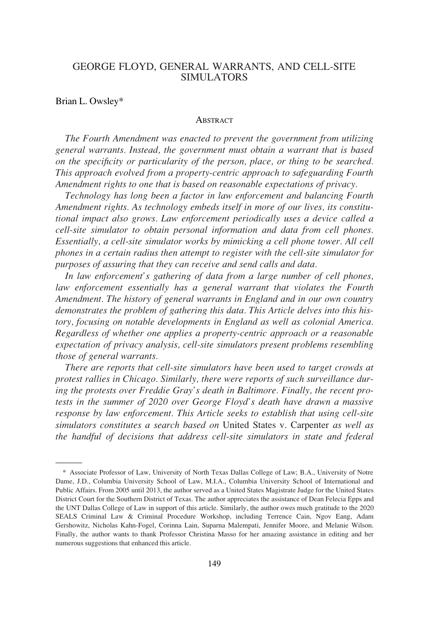# GEORGE FLOYD, GENERAL WARRANTS, AND CELL-SITE SIMULATORS

### Brian L. Owsley\*

#### **ABSTRACT**

*The Fourth Amendment was enacted to prevent the government from utilizing general warrants. Instead, the government must obtain a warrant that is based on the specificity or particularity of the person, place, or thing to be searched. This approach evolved from a property-centric approach to safeguarding Fourth Amendment rights to one that is based on reasonable expectations of privacy.* 

*Technology has long been a factor in law enforcement and balancing Fourth Amendment rights. As technology embeds itself in more of our lives, its constitutional impact also grows. Law enforcement periodically uses a device called a cell-site simulator to obtain personal information and data from cell phones. Essentially, a cell-site simulator works by mimicking a cell phone tower. All cell phones in a certain radius then attempt to register with the cell-site simulator for purposes of assuring that they can receive and send calls and data.* 

*In law enforcement's gathering of data from a large number of cell phones, law enforcement essentially has a general warrant that violates the Fourth Amendment. The history of general warrants in England and in our own country demonstrates the problem of gathering this data. This Article delves into this history, focusing on notable developments in England as well as colonial America. Regardless of whether one applies a property-centric approach or a reasonable expectation of privacy analysis, cell-site simulators present problems resembling those of general warrants.* 

*There are reports that cell-site simulators have been used to target crowds at protest rallies in Chicago. Similarly, there were reports of such surveillance during the protests over Freddie Gray's death in Baltimore. Finally, the recent protests in the summer of 2020 over George Floyd's death have drawn a massive response by law enforcement. This Article seeks to establish that using cell-site simulators constitutes a search based on* United States v. Carpenter *as well as the handful of decisions that address cell-site simulators in state and federal* 

<sup>\*</sup> Associate Professor of Law, University of North Texas Dallas College of Law; B.A., University of Notre Dame, J.D., Columbia University School of Law, M.I.A., Columbia University School of International and Public Affairs. From 2005 until 2013, the author served as a United States Magistrate Judge for the United States District Court for the Southern District of Texas. The author appreciates the assistance of Dean Felecia Epps and the UNT Dallas College of Law in support of this article. Similarly, the author owes much gratitude to the 2020 SEALS Criminal Law & Criminal Procedure Workshop, including Terrence Cain, Ngov Eang, Adam Gershowitz, Nicholas Kahn-Fogel, Corinna Lain, Suparna Malempati, Jennifer Moore, and Melanie Wilson. Finally, the author wants to thank Professor Christina Masso for her amazing assistance in editing and her numerous suggestions that enhanced this article.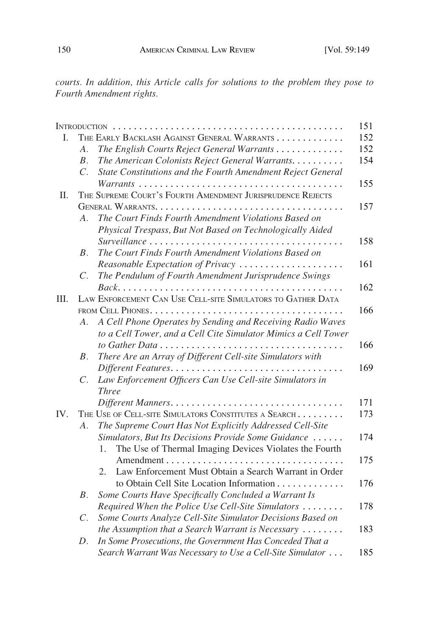*courts. In addition, this Article calls for solutions to the problem they pose to Fourth Amendment rights.* 

| I.  |                                                            | THE EARLY BACKLASH AGAINST GENERAL WARRANTS                     |
|-----|------------------------------------------------------------|-----------------------------------------------------------------|
|     | A.                                                         | The English Courts Reject General Warrants                      |
|     | $B$ .                                                      | The American Colonists Reject General Warrants.                 |
|     | $\overline{C}$ .                                           | State Constitutions and the Fourth Amendment Reject General     |
|     |                                                            |                                                                 |
| Π.  | THE SUPREME COURT'S FOURTH AMENDMENT JURISPRUDENCE REJECTS |                                                                 |
|     |                                                            |                                                                 |
|     | $A_{\cdot}$                                                | The Court Finds Fourth Amendment Violations Based on            |
|     |                                                            | Physical Trespass, But Not Based on Technologically Aided       |
|     |                                                            |                                                                 |
|     | В.                                                         | The Court Finds Fourth Amendment Violations Based on            |
|     |                                                            | Reasonable Expectation of Privacy                               |
|     | $C_{\cdot}$                                                | The Pendulum of Fourth Amendment Jurisprudence Swings           |
|     |                                                            |                                                                 |
| Ш.  |                                                            | LAW ENFORCEMENT CAN USE CELL-SITE SIMULATORS TO GATHER DATA     |
|     |                                                            |                                                                 |
|     | A.                                                         | A Cell Phone Operates by Sending and Receiving Radio Waves      |
|     |                                                            | to a Cell Tower, and a Cell Cite Simulator Mimics a Cell Tower  |
|     |                                                            |                                                                 |
|     | В.                                                         | There Are an Array of Different Cell-site Simulators with       |
|     |                                                            |                                                                 |
|     | $\mathcal{C}$ .                                            | Law Enforcement Officers Can Use Cell-site Simulators in        |
|     |                                                            | <b>Three</b>                                                    |
|     |                                                            |                                                                 |
| IV. |                                                            | THE USE OF CELL-SITE SIMULATORS CONSTITUTES A SEARCH            |
|     | A.                                                         | The Supreme Court Has Not Explicitly Addressed Cell-Site        |
|     |                                                            | Simulators, But Its Decisions Provide Some Guidance             |
|     |                                                            | The Use of Thermal Imaging Devices Violates the Fourth<br>1.    |
|     |                                                            |                                                                 |
|     |                                                            | Law Enforcement Must Obtain a Search Warrant in Order<br>2.     |
|     |                                                            | to Obtain Cell Site Location Information                        |
|     | $B$ .                                                      | Some Courts Have Specifically Concluded a Warrant Is            |
|     |                                                            | Required When the Police Use Cell-Site Simulators               |
|     | $\mathcal{C}.$                                             | Some Courts Analyze Cell-Site Simulator Decisions Based on      |
|     |                                                            | the Assumption that a Search Warrant is Necessary $\dots \dots$ |
|     | D.                                                         | In Some Prosecutions, the Government Has Conceded That a        |
|     |                                                            | Search Warrant Was Necessary to Use a Cell-Site Simulator       |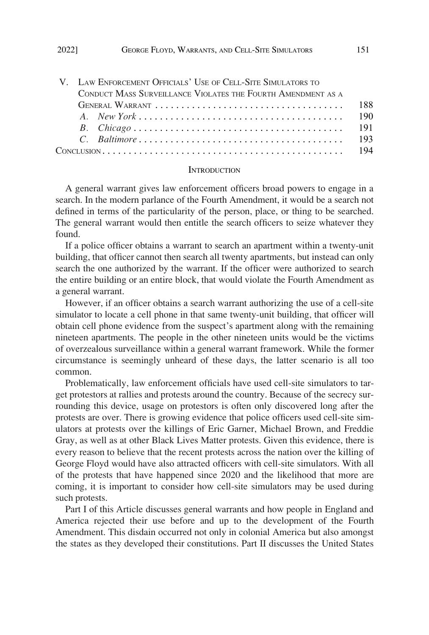| V. LAW ENFORCEMENT OFFICIALS' USE OF CELL-SITE SIMULATORS TO |       |  |  |  |
|--------------------------------------------------------------|-------|--|--|--|
| CONDUCT MASS SURVEILLANCE VIOLATES THE FOURTH AMENDMENT AS A |       |  |  |  |
|                                                              | -188  |  |  |  |
|                                                              | 190   |  |  |  |
|                                                              | - 191 |  |  |  |
|                                                              | 193   |  |  |  |
|                                                              |       |  |  |  |

#### **INTRODUCTION**

A general warrant gives law enforcement officers broad powers to engage in a search. In the modern parlance of the Fourth Amendment, it would be a search not defined in terms of the particularity of the person, place, or thing to be searched. The general warrant would then entitle the search officers to seize whatever they found.

If a police officer obtains a warrant to search an apartment within a twenty-unit building, that officer cannot then search all twenty apartments, but instead can only search the one authorized by the warrant. If the officer were authorized to search the entire building or an entire block, that would violate the Fourth Amendment as a general warrant.

However, if an officer obtains a search warrant authorizing the use of a cell-site simulator to locate a cell phone in that same twenty-unit building, that officer will obtain cell phone evidence from the suspect's apartment along with the remaining nineteen apartments. The people in the other nineteen units would be the victims of overzealous surveillance within a general warrant framework. While the former circumstance is seemingly unheard of these days, the latter scenario is all too common.

Problematically, law enforcement officials have used cell-site simulators to target protestors at rallies and protests around the country. Because of the secrecy surrounding this device, usage on protestors is often only discovered long after the protests are over. There is growing evidence that police officers used cell-site simulators at protests over the killings of Eric Garner, Michael Brown, and Freddie Gray, as well as at other Black Lives Matter protests. Given this evidence, there is every reason to believe that the recent protests across the nation over the killing of George Floyd would have also attracted officers with cell-site simulators. With all of the protests that have happened since 2020 and the likelihood that more are coming, it is important to consider how cell-site simulators may be used during such protests.

Part I of this Article discusses general warrants and how people in England and America rejected their use before and up to the development of the Fourth Amendment. This disdain occurred not only in colonial America but also amongst the states as they developed their constitutions. Part II discusses the United States

<span id="page-2-0"></span>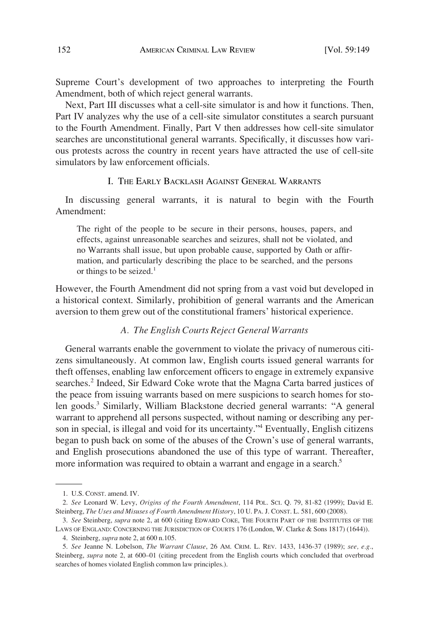<span id="page-3-0"></span>Supreme Court's development of two approaches to interpreting the Fourth Amendment, both of which reject general warrants.

Next, Part III discusses what a cell-site simulator is and how it functions. Then, Part IV analyzes why the use of a cell-site simulator constitutes a search pursuant to the Fourth Amendment. Finally, Part V then addresses how cell-site simulator searches are unconstitutional general warrants. Specifically, it discusses how various protests across the country in recent years have attracted the use of cell-site simulators by law enforcement officials.

# I. THE EARLY BACKLASH AGAINST GENERAL WARRANTS

In discussing general warrants, it is natural to begin with the Fourth Amendment:

The right of the people to be secure in their persons, houses, papers, and effects, against unreasonable searches and seizures, shall not be violated, and no Warrants shall issue, but upon probable cause, supported by Oath or affirmation, and particularly describing the place to be searched, and the persons or things to be seized.<sup>1</sup>

However, the Fourth Amendment did not spring from a vast void but developed in a historical context. Similarly, prohibition of general warrants and the American aversion to them grew out of the constitutional framers' historical experience.

#### *A. The English Courts Reject General Warrants*

General warrants enable the government to violate the privacy of numerous citizens simultaneously. At common law, English courts issued general warrants for theft offenses, enabling law enforcement officers to engage in extremely expansive searches.<sup>2</sup> Indeed, Sir Edward Coke wrote that the Magna Carta barred justices of the peace from issuing warrants based on mere suspicions to search homes for stolen goods.<sup>3</sup> Similarly, William Blackstone decried general warrants: "A general warrant to apprehend all persons suspected, without naming or describing any person in special, is illegal and void for its uncertainty.<sup>34</sup> Eventually, English citizens began to push back on some of the abuses of the Crown's use of general warrants, and English prosecutions abandoned the use of this type of warrant. Thereafter, more information was required to obtain a warrant and engage in a search.<sup>5</sup>

<sup>1.</sup> U.S. CONST. amend. IV.

<sup>2.</sup> *See* Leonard W. Levy, *Origins of the Fourth Amendment*, 114 POL. SCI. Q. 79, 81-82 (1999); David E. Steinberg, *The Uses and Misuses of Fourth Amendment History*, 10 U. PA. J. CONST. L. 581, 600 (2008).

<sup>3.</sup> *See* Steinberg, *supra* note 2, at 600 (citing EDWARD COKE, THE FOURTH PART OF THE INSTITUTES OF THE LAWS OF ENGLAND: CONCERNING THE JURISDICTION OF COURTS 176 (London, W. Clarke & Sons 1817) (1644)).

<sup>4.</sup> Steinberg, *supra* note 2, at 600 n.105.

<sup>5.</sup> *See* Jeanne N. Lobelson, *The Warrant Clause*, 26 AM. CRIM. L. REV. 1433, 1436-37 (1989); *see, e.g.*, Steinberg, *supra* note 2, at 600–01 (citing precedent from the English courts which concluded that overbroad searches of homes violated English common law principles.).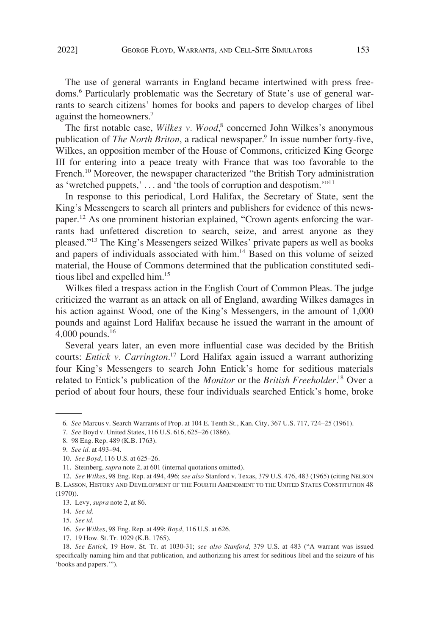The use of general warrants in England became intertwined with press freedoms.6 Particularly problematic was the Secretary of State's use of general warrants to search citizens' homes for books and papers to develop charges of libel against the homeowners.7

The first notable case, *Wilkes v. Wood*, 8 concerned John Wilkes's anonymous publication of *The North Briton*, a radical newspaper.<sup>9</sup> In issue number forty-five, Wilkes, an opposition member of the House of Commons, criticized King George III for entering into a peace treaty with France that was too favorable to the French.<sup>10</sup> Moreover, the newspaper characterized "the British Tory administration as 'wretched puppets,' . . . and 'the tools of corruption and despotism.'"<sup>11</sup>

In response to this periodical, Lord Halifax, the Secretary of State, sent the King's Messengers to search all printers and publishers for evidence of this newspaper.12 As one prominent historian explained, "Crown agents enforcing the warrants had unfettered discretion to search, seize, and arrest anyone as they pleased."13 The King's Messengers seized Wilkes' private papers as well as books and papers of individuals associated with him.<sup>14</sup> Based on this volume of seized material, the House of Commons determined that the publication constituted seditious libel and expelled him.<sup>15</sup>

Wilkes filed a trespass action in the English Court of Common Pleas. The judge criticized the warrant as an attack on all of England, awarding Wilkes damages in his action against Wood, one of the King's Messengers, in the amount of 1,000 pounds and against Lord Halifax because he issued the warrant in the amount of 4,000 pounds.16

Several years later, an even more influential case was decided by the British courts: *Entick v. Carrington*. 17 Lord Halifax again issued a warrant authorizing four King's Messengers to search John Entick's home for seditious materials related to Entick's publication of the *Monitor* or the *British Freeholder*. 18 Over a period of about four hours, these four individuals searched Entick's home, broke

17. 19 How. St. Tr. 1029 (K.B. 1765).

<sup>6.</sup> *See* Marcus v. Search Warrants of Prop. at 104 E. Tenth St., Kan. City, 367 U.S. 717, 724–25 (1961).

<sup>7.</sup> *See* Boyd v. United States, 116 U.S. 616, 625–26 (1886).

<sup>8. 98</sup> Eng. Rep. 489 (K.B. 1763).

<sup>9.</sup> *See id.* at 493–94.

<sup>10.</sup> *See Boyd*, 116 U.S. at 625–26.

<sup>11.</sup> Steinberg, *supra* note 2, at 601 (internal quotations omitted).

<sup>12.</sup> *See Wilkes*, 98 Eng. Rep. at 494, 496; *see also* Stanford v. Texas, 379 U.S. 476, 483 (1965) (citing NELSON B. LASSON, HISTORY AND DEVELOPMENT OF THE FOURTH AMENDMENT TO THE UNITED STATES CONSTITUTION 48 (1970)).

<sup>13.</sup> Levy, *supra* note 2, at 86.

<sup>14.</sup> *See id.* 

<sup>15.</sup> *See id.* 

<sup>16.</sup> *See Wilkes*, 98 Eng. Rep. at 499; *Boyd*, 116 U.S. at 626.

<sup>18.</sup> *See Entick*, 19 How. St. Tr. at 1030-31; *see also Stanford*, 379 U.S. at 483 ("A warrant was issued specifically naming him and that publication, and authorizing his arrest for seditious libel and the seizure of his 'books and papers.'").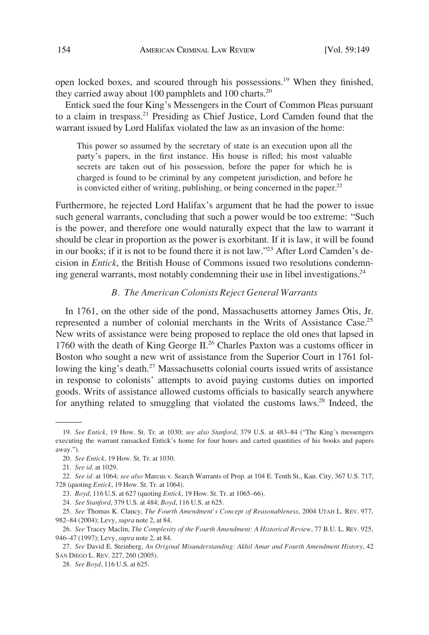<span id="page-5-0"></span>open locked boxes, and scoured through his possessions.19 When they finished, they carried away about 100 pamphlets and 100 charts.<sup>20</sup>

Entick sued the four King's Messengers in the Court of Common Pleas pursuant to a claim in trespass.21 Presiding as Chief Justice, Lord Camden found that the warrant issued by Lord Halifax violated the law as an invasion of the home:

This power so assumed by the secretary of state is an execution upon all the party's papers, in the first instance. His house is rifled; his most valuable secrets are taken out of his possession, before the paper for which he is charged is found to be criminal by any competent jurisdiction, and before he is convicted either of writing, publishing, or being concerned in the paper.<sup>22</sup>

Furthermore, he rejected Lord Halifax's argument that he had the power to issue such general warrants, concluding that such a power would be too extreme: "Such is the power, and therefore one would naturally expect that the law to warrant it should be clear in proportion as the power is exorbitant. If it is law, it will be found in our books; if it is not to be found there it is not law."<sup>23</sup> After Lord Camden's decision in *Entick*, the British House of Commons issued two resolutions condemning general warrants, most notably condemning their use in libel investigations.<sup>24</sup>

### *B. The American Colonists Reject General Warrants*

In 1761, on the other side of the pond, Massachusetts attorney James Otis, Jr. represented a number of colonial merchants in the Writs of Assistance Case.<sup>25</sup> New writs of assistance were being proposed to replace the old ones that lapsed in 1760 with the death of King George  $II^{26}$  Charles Paxton was a customs officer in Boston who sought a new writ of assistance from the Superior Court in 1761 following the king's death.<sup>27</sup> Massachusetts colonial courts issued writs of assistance in response to colonists' attempts to avoid paying customs duties on imported goods. Writs of assistance allowed customs officials to basically search anywhere for anything related to smuggling that violated the customs laws.<sup>28</sup> Indeed, the

<sup>19.</sup> *See Entick*, 19 How. St. Tr. at 1030; *see also Stanford*, 379 U.S. at 483–84 ("The King's messengers executing the warrant ransacked Entick's home for four hours and carted quantities of his books and papers away.").

<sup>20.</sup> *See Entick*, 19 How. St. Tr. at 1030.

<sup>21.</sup> *See id.* at 1029.

<sup>22.</sup> *See id.* at 1064; *see also* Marcus v. Search Warrants of Prop. at 104 E. Tenth St., Kan. City, 367 U.S. 717, 728 (quoting *Entick*, 19 How. St. Tr. at 1064).

<sup>23.</sup> *Boyd*, 116 U.S. at 627 (quoting *Entick*, 19 How. St. Tr. at 1065–66).

<sup>24.</sup> *See Stanford*, 379 U.S. at 484; *Boyd*, 116 U.S. at 625.

<sup>25.</sup> *See* Thomas K. Clancy, *The Fourth Amendment's Concept of Reasonableness*, 2004 UTAH L. REV. 977, 982–84 (2004); Levy, *supra* note 2, at 84.

<sup>26.</sup> *See* Tracey Maclin, *The Complexity of the Fourth Amendment: A Historical Review*, 77 B.U. L. REV. 925, 946–47 (1997); Levy, *supra* note 2, at 84.

<sup>27.</sup> *See* David E. Steinberg, *An Original Misunderstanding: Akhil Amar and Fourth Amendment History*, 42 SAN DIEGO L. REV. 227, 260 (2005).

<sup>28.</sup> *See Boyd*, 116 U.S. at 625.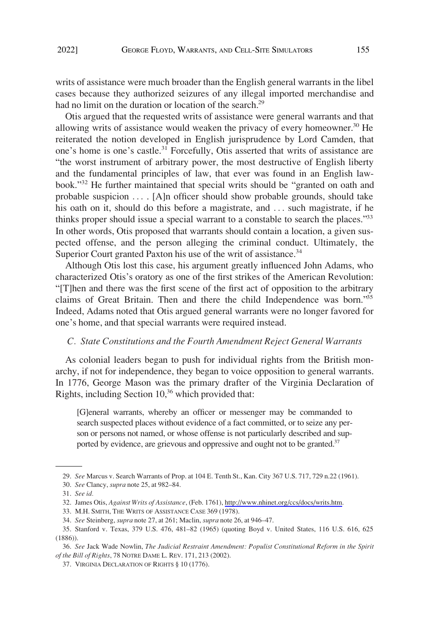<span id="page-6-0"></span>writs of assistance were much broader than the English general warrants in the libel cases because they authorized seizures of any illegal imported merchandise and had no limit on the duration or location of the search.<sup>29</sup>

Otis argued that the requested writs of assistance were general warrants and that allowing writs of assistance would weaken the privacy of every homeowner.<sup>30</sup> He reiterated the notion developed in English jurisprudence by Lord Camden, that one's home is one's castle.<sup>31</sup> Forcefully, Otis asserted that writs of assistance are "the worst instrument of arbitrary power, the most destructive of English liberty and the fundamental principles of law, that ever was found in an English lawbook."<sup>32</sup> He further maintained that special writs should be "granted on oath and probable suspicion ... . [A]n officer should show probable grounds, should take his oath on it, should do this before a magistrate, and ... such magistrate, if he thinks proper should issue a special warrant to a constable to search the places."33 In other words, Otis proposed that warrants should contain a location, a given suspected offense, and the person alleging the criminal conduct. Ultimately, the Superior Court granted Paxton his use of the writ of assistance.<sup>34</sup>

Although Otis lost this case, his argument greatly influenced John Adams, who characterized Otis's oratory as one of the first strikes of the American Revolution: "[T]hen and there was the first scene of the first act of opposition to the arbitrary claims of Great Britain. Then and there the child Independence was born." 35 Indeed, Adams noted that Otis argued general warrants were no longer favored for one's home, and that special warrants were required instead.

#### *C. State Constitutions and the Fourth Amendment Reject General Warrants*

As colonial leaders began to push for individual rights from the British monarchy, if not for independence, they began to voice opposition to general warrants. In 1776, George Mason was the primary drafter of the Virginia Declaration of Rights, including Section 10,<sup>36</sup> which provided that:

[G]eneral warrants, whereby an officer or messenger may be commanded to search suspected places without evidence of a fact committed, or to seize any person or persons not named, or whose offense is not particularly described and supported by evidence, are grievous and oppressive and ought not to be granted.<sup>37</sup>

<sup>29.</sup> *See* Marcus v. Search Warrants of Prop. at 104 E. Tenth St., Kan. City 367 U.S. 717, 729 n.22 (1961).

<sup>30.</sup> *See* Clancy, *supra* note 25, at 982–84.

<sup>31.</sup> *See id.* 

<sup>32.</sup> James Otis, *Against Writs of Assistance*, (Feb. 1761), [http://www.nhinet.org/ccs/docs/writs.htm.](http://www.nhinet.org/ccs/docs/writs.htm)

<sup>33.</sup> M.H. SMITH, THE WRITS OF ASSISTANCE CASE 369 (1978).

<sup>34.</sup> *See* Steinberg, *supra* note 27, at 261; Maclin, *supra* note 26, at 946–47.

<sup>35.</sup> Stanford v. Texas, 379 U.S. 476, 481–82 (1965) (quoting Boyd v. United States, 116 U.S. 616, 625 (1886)).

<sup>36.</sup> *See* Jack Wade Nowlin, *The Judicial Restraint Amendment: Populist Constitutional Reform in the Spirit of the Bill of Rights*, 78 NOTRE DAME L. REV. 171, 213 (2002).

<sup>37.</sup> VIRGINIA DECLARATION OF RIGHTS § 10 (1776).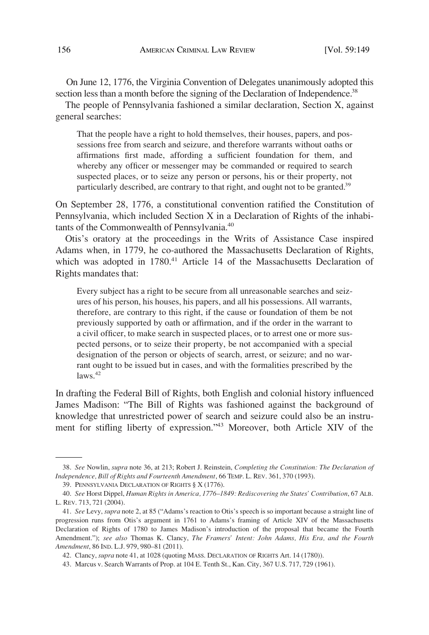On June 12, 1776, the Virginia Convention of Delegates unanimously adopted this section less than a month before the signing of the Declaration of Independence.<sup>38</sup>

The people of Pennsylvania fashioned a similar declaration, Section X, against general searches:

That the people have a right to hold themselves, their houses, papers, and possessions free from search and seizure, and therefore warrants without oaths or affirmations first made, affording a sufficient foundation for them, and whereby any officer or messenger may be commanded or required to search suspected places, or to seize any person or persons, his or their property, not particularly described, are contrary to that right, and ought not to be granted.<sup>39</sup>

On September 28, 1776, a constitutional convention ratified the Constitution of Pennsylvania, which included Section X in a Declaration of Rights of the inhabitants of the Commonwealth of Pennsylvania.40

Otis's oratory at the proceedings in the Writs of Assistance Case inspired Adams when, in 1779, he co-authored the Massachusetts Declaration of Rights, which was adopted in 1780.<sup>41</sup> Article 14 of the Massachusetts Declaration of Rights mandates that:

Every subject has a right to be secure from all unreasonable searches and seizures of his person, his houses, his papers, and all his possessions. All warrants, therefore, are contrary to this right, if the cause or foundation of them be not previously supported by oath or affirmation, and if the order in the warrant to a civil officer, to make search in suspected places, or to arrest one or more suspected persons, or to seize their property, be not accompanied with a special designation of the person or objects of search, arrest, or seizure; and no warrant ought to be issued but in cases, and with the formalities prescribed by the  $\text{laws}$ . $42$ 

In drafting the Federal Bill of Rights, both English and colonial history influenced James Madison: "The Bill of Rights was fashioned against the background of knowledge that unrestricted power of search and seizure could also be an instrument for stifling liberty of expression."<sup>43</sup> Moreover, both Article XIV of the

<sup>38.</sup> *See* Nowlin, *supra* note 36, at 213; Robert J. Reinstein, *Completing the Constitution: The Declaration of Independence, Bill of Rights and Fourteenth Amendment*, 66 TEMP. L. REV. 361, 370 (1993).

<sup>39.</sup> PENNSYLVANIA DECLARATION OF RIGHTS § X (1776).

<sup>40.</sup> *See* Horst Dippel, *Human Rights in America, 1776*–*1849: Rediscovering the States' Contribution*, 67 ALB. L. REV. 713, 721 (2004).

<sup>41.</sup> *See* Levy, *supra* note 2, at 85 ("Adams's reaction to Otis's speech is so important because a straight line of progression runs from Otis's argument in 1761 to Adams's framing of Article XIV of the Massachusetts Declaration of Rights of 1780 to James Madison's introduction of the proposal that became the Fourth Amendment."); *see also* Thomas K. Clancy, *The Framers' Intent: John Adams, His Era, and the Fourth Amendment*, 86 IND. L.J. 979, 980–81 (2011).

<sup>42.</sup> Clancy, *supra* note 41, at 1028 (quoting MASS. DECLARATION OF RIGHTS Art. 14 (1780)).

<sup>43.</sup> Marcus v. Search Warrants of Prop. at 104 E. Tenth St., Kan. City, 367 U.S. 717, 729 (1961).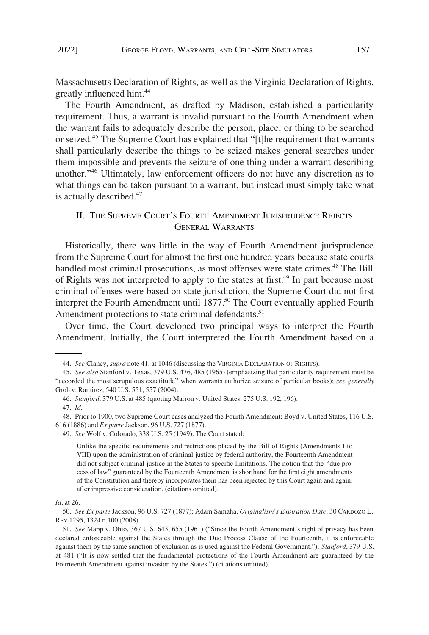<span id="page-8-0"></span>Massachusetts Declaration of Rights, as well as the Virginia Declaration of Rights, greatly influenced him.44

The Fourth Amendment, as drafted by Madison, established a particularity requirement. Thus, a warrant is invalid pursuant to the Fourth Amendment when the warrant fails to adequately describe the person, place, or thing to be searched or seized.<sup>45</sup> The Supreme Court has explained that "[t]he requirement that warrants shall particularly describe the things to be seized makes general searches under them impossible and prevents the seizure of one thing under a warrant describing another."46 Ultimately, law enforcement officers do not have any discretion as to what things can be taken pursuant to a warrant, but instead must simply take what is actually described.<sup>47</sup>

# II. THE SUPREME COURT'S FOURTH AMENDMENT JURISPRUDENCE REJECTS GENERAL WARRANTS

Historically, there was little in the way of Fourth Amendment jurisprudence from the Supreme Court for almost the first one hundred years because state courts handled most criminal prosecutions, as most offenses were state crimes.<sup>48</sup> The Bill of Rights was not interpreted to apply to the states at first.<sup>49</sup> In part because most criminal offenses were based on state jurisdiction, the Supreme Court did not first interpret the Fourth Amendment until 1877.<sup>50</sup> The Court eventually applied Fourth Amendment protections to state criminal defendants.<sup>51</sup>

Over time, the Court developed two principal ways to interpret the Fourth Amendment. Initially, the Court interpreted the Fourth Amendment based on a

<sup>44.</sup> *See* Clancy, *supra* note 41, at 1046 (discussing the VIRGINIA DECLARATION OF RIGHTS).

<sup>45.</sup> *See also* Stanford v. Texas, 379 U.S. 476, 485 (1965) (emphasizing that particularity requirement must be "accorded the most scrupulous exactitude" when warrants authorize seizure of particular books); *see generally*  Groh v. Ramirez, 540 U.S. 551, 557 (2004).

<sup>46.</sup> *Stanford*, 379 U.S. at 485 (quoting Marron v. United States, 275 U.S. 192, 196).

<sup>47.</sup> *Id*.

<sup>48.</sup> Prior to 1900, two Supreme Court cases analyzed the Fourth Amendment: Boyd v. United States, 116 U.S. 616 (1886) and *Ex parte* Jackson, 96 U.S. 727 (1877).

<sup>49.</sup> *See* Wolf v. Colorado, 338 U.S. 25 (1949). The Court stated:

Unlike the specific requirements and restrictions placed by the Bill of Rights (Amendments I to VIII) upon the administration of criminal justice by federal authority, the Fourteenth Amendment did not subject criminal justice in the States to specific limitations. The notion that the "due process of law" guaranteed by the Fourteenth Amendment is shorthand for the first eight amendments of the Constitution and thereby incorporates them has been rejected by this Court again and again, after impressive consideration. (citations omitted).

*Id*. at 26.

<sup>50.</sup> *See Ex parte* Jackson, 96 U.S. 727 (1877); Adam Samaha, *Originalism's Expiration Date*, 30 CARDOZO L. REV 1295, 1324 n.100 (2008).

<sup>51.</sup> *See* Mapp v. Ohio, 367 U.S. 643, 655 (1961) ("Since the Fourth Amendment's right of privacy has been declared enforceable against the States through the Due Process Clause of the Fourteenth, it is enforceable against them by the same sanction of exclusion as is used against the Federal Government."); *Stanford*, 379 U.S. at 481 ("It is now settled that the fundamental protections of the Fourth Amendment are guaranteed by the Fourteenth Amendment against invasion by the States.") (citations omitted).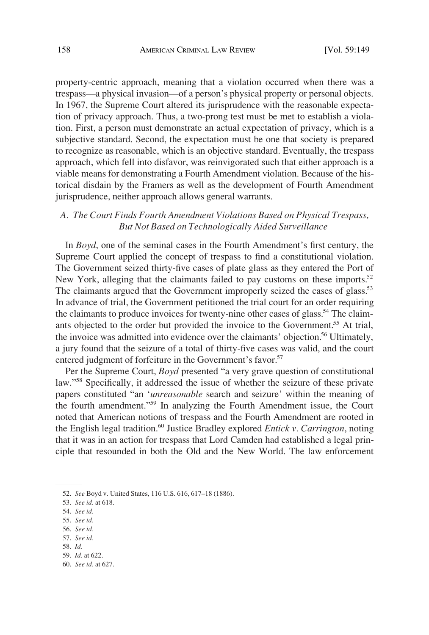<span id="page-9-0"></span>property-centric approach, meaning that a violation occurred when there was a trespass—a physical invasion—of a person's physical property or personal objects. In 1967, the Supreme Court altered its jurisprudence with the reasonable expectation of privacy approach. Thus, a two-prong test must be met to establish a violation. First, a person must demonstrate an actual expectation of privacy, which is a subjective standard. Second, the expectation must be one that society is prepared to recognize as reasonable, which is an objective standard. Eventually, the trespass approach, which fell into disfavor, was reinvigorated such that either approach is a viable means for demonstrating a Fourth Amendment violation. Because of the historical disdain by the Framers as well as the development of Fourth Amendment jurisprudence, neither approach allows general warrants.

# *A. The Court Finds Fourth Amendment Violations Based on Physical Trespass, But Not Based on Technologically Aided Surveillance*

In *Boyd*, one of the seminal cases in the Fourth Amendment's first century, the Supreme Court applied the concept of trespass to find a constitutional violation. The Government seized thirty-five cases of plate glass as they entered the Port of New York, alleging that the claimants failed to pay customs on these imports.<sup>52</sup> The claimants argued that the Government improperly seized the cases of glass.<sup>53</sup> In advance of trial, the Government petitioned the trial court for an order requiring the claimants to produce invoices for twenty-nine other cases of glass.<sup>54</sup> The claimants objected to the order but provided the invoice to the Government.<sup>55</sup> At trial, the invoice was admitted into evidence over the claimants' objection.<sup>56</sup> Ultimately, a jury found that the seizure of a total of thirty-five cases was valid, and the court entered judgment of forfeiture in the Government's favor.<sup>57</sup>

Per the Supreme Court, *Boyd* presented "a very grave question of constitutional law."58 Specifically, it addressed the issue of whether the seizure of these private papers constituted "an '*unreasonable* search and seizure' within the meaning of the fourth amendment."59 In analyzing the Fourth Amendment issue, the Court noted that American notions of trespass and the Fourth Amendment are rooted in the English legal tradition.60 Justice Bradley explored *Entick v. Carrington*, noting that it was in an action for trespass that Lord Camden had established a legal principle that resounded in both the Old and the New World. The law enforcement

- 56. *See id.*
- 57. *See id.*
- 58. *Id.*
- 59. *Id.* at 622.
- 60. *See id.* at 627.

<sup>52.</sup> *See* Boyd v. United States, 116 U.S. 616, 617–18 (1886).

<sup>53.</sup> *See id.* at 618.

<sup>54.</sup> *See id.* 

<sup>55.</sup> *See id.*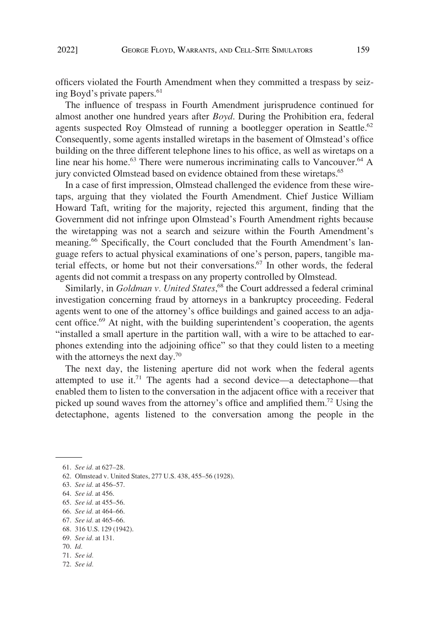officers violated the Fourth Amendment when they committed a trespass by seizing Boyd's private papers.<sup>61</sup>

The influence of trespass in Fourth Amendment jurisprudence continued for almost another one hundred years after *Boyd*. During the Prohibition era, federal agents suspected Roy Olmstead of running a bootlegger operation in Seattle.<sup>62</sup> Consequently, some agents installed wiretaps in the basement of Olmstead's office building on the three different telephone lines to his office, as well as wiretaps on a line near his home.<sup>63</sup> There were numerous incriminating calls to Vancouver.<sup>64</sup> A jury convicted Olmstead based on evidence obtained from these wiretaps.<sup>65</sup>

In a case of first impression, Olmstead challenged the evidence from these wiretaps, arguing that they violated the Fourth Amendment. Chief Justice William Howard Taft, writing for the majority, rejected this argument, finding that the Government did not infringe upon Olmstead's Fourth Amendment rights because the wiretapping was not a search and seizure within the Fourth Amendment's meaning.<sup>66</sup> Specifically, the Court concluded that the Fourth Amendment's language refers to actual physical examinations of one's person, papers, tangible material effects, or home but not their conversations.67 In other words, the federal agents did not commit a trespass on any property controlled by Olmstead.

Similarly, in *Goldman v. United States*,<sup>68</sup> the Court addressed a federal criminal investigation concerning fraud by attorneys in a bankruptcy proceeding. Federal agents went to one of the attorney's office buildings and gained access to an adjacent office.<sup>69</sup> At night, with the building superintendent's cooperation, the agents "installed a small aperture in the partition wall, with a wire to be attached to earphones extending into the adjoining office" so that they could listen to a meeting with the attorneys the next day.<sup>70</sup>

The next day, the listening aperture did not work when the federal agents attempted to use it.<sup>71</sup> The agents had a second device—a detectaphone—that enabled them to listen to the conversation in the adjacent office with a receiver that picked up sound waves from the attorney's office and amplified them.72 Using the detectaphone, agents listened to the conversation among the people in the

71. *See id.* 

<sup>61.</sup> *See id.* at 627–28.

<sup>62.</sup> Olmstead v. United States, 277 U.S. 438, 455–56 (1928).

<sup>63.</sup> *See id.* at 456–57.

<sup>64.</sup> *See id.* at 456.

<sup>65.</sup> *See id.* at 455–56.

<sup>66.</sup> *See id.* at 464–66.

<sup>67.</sup> *See id.* at 465–66.

<sup>68. 316</sup> U.S. 129 (1942).

<sup>69.</sup> *See id.* at 131.

<sup>70.</sup> *Id.* 

<sup>72.</sup> *See id.*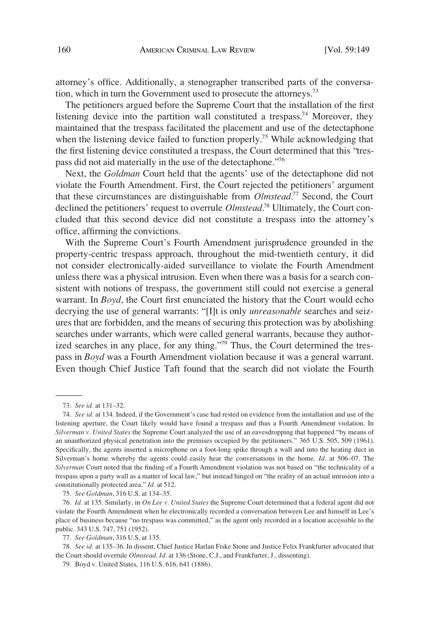attorney's office. Additionally, a stenographer transcribed parts of the conversation, which in turn the Government used to prosecute the attorneys.<sup>73</sup>

The petitioners argued before the Supreme Court that the installation of the first listening device into the partition wall constituted a trespass.<sup>74</sup> Moreover, they maintained that the trespass facilitated the placement and use of the detectaphone when the listening device failed to function properly.<sup>75</sup> While acknowledging that the first listening device constituted a trespass, the Court determined that this "trespass did not aid materially in the use of the detectaphone.<sup>776</sup>

Next, the *Goldman* Court held that the agents' use of the detectaphone did not violate the Fourth Amendment. First, the Court rejected the petitioners' argument that these circumstances are distinguishable from *Olmstead*. 77 Second, the Court declined the petitioners' request to overrule *Olmstead*. 78 Ultimately, the Court concluded that this second device did not constitute a trespass into the attorney's office, affirming the convictions.

With the Supreme Court's Fourth Amendment jurisprudence grounded in the property-centric trespass approach, throughout the mid-twentieth century, it did not consider electronically-aided surveillance to violate the Fourth Amendment unless there was a physical intrusion. Even when there was a basis for a search consistent with notions of trespass, the government still could not exercise a general warrant. In *Boyd*, the Court first enunciated the history that the Court would echo decrying the use of general warrants: "[I]t is only *unreasonable* searches and seizures that are forbidden, and the means of securing this protection was by abolishing searches under warrants, which were called general warrants, because they authorized searches in any place, for any thing."<sup>79</sup> Thus, the Court determined the trespass in *Boyd* was a Fourth Amendment violation because it was a general warrant. Even though Chief Justice Taft found that the search did not violate the Fourth

75. *See Goldman*, 316 U.S. at 134–35.

<sup>73.</sup> *See id.* at 131–32.

<sup>74.</sup> *See id.* at 134. Indeed, if the Government's case had rested on evidence from the installation and use of the listening aperture, the Court likely would have found a trespass and thus a Fourth Amendment violation. In *Silverman v. United States* the Supreme Court analyzed the use of an eavesdropping that happened "by means of an unauthorized physical penetration into the premises occupied by the petitioners." 365 U.S. 505, 509 (1961). Specifically, the agents inserted a microphone on a foot-long spike through a wall and into the heating duct in Silverman's home whereby the agents could easily hear the conversations in the home. *Id.* at 506–07. The *Silverman* Court noted that the finding of a Fourth Amendment violation was not based on "the technicality of a trespass upon a party wall as a matter of local law," but instead hinged on "the reality of an actual intrusion into a constitutionally protected area." *Id.* at 512.

<sup>76.</sup> *Id.* at 135. Similarly, in *On Lee v. United States* the Supreme Court determined that a federal agent did not violate the Fourth Amendment when he electronically recorded a conversation between Lee and himself in Lee's place of business because "no trespass was committed," as the agent only recorded in a location accessible to the public. 343 U.S. 747, 751 (1952).

<sup>77.</sup> *See Goldman*, 316 U.S. at 135.

<sup>78.</sup> *See id.* at 135–36. In dissent, Chief Justice Harlan Fiske Stone and Justice Felix Frankfurter advocated that the Court should overrule *Olmstead*. *Id.* at 136 (Stone, C.J., and Frankfurter, J., dissenting).

<sup>79.</sup> Boyd v. United States, 116 U.S. 616, 641 (1886).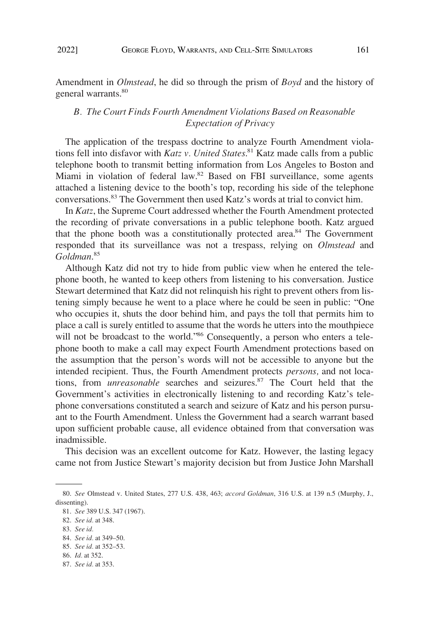general warrants.<sup>80</sup>

<span id="page-12-0"></span>Amendment in *Olmstead*, he did so through the prism of *Boyd* and the history of

# *B. The Court Finds Fourth Amendment Violations Based on Reasonable Expectation of Privacy*

The application of the trespass doctrine to analyze Fourth Amendment violations fell into disfavor with *Katz v. United States*. 81 Katz made calls from a public telephone booth to transmit betting information from Los Angeles to Boston and Miami in violation of federal law.<sup>82</sup> Based on FBI surveillance, some agents attached a listening device to the booth's top, recording his side of the telephone conversations.83 The Government then used Katz's words at trial to convict him.

In *Katz*, the Supreme Court addressed whether the Fourth Amendment protected the recording of private conversations in a public telephone booth. Katz argued that the phone booth was a constitutionally protected area.<sup>84</sup> The Government responded that its surveillance was not a trespass, relying on *Olmstead* and *Goldman*. 85

Although Katz did not try to hide from public view when he entered the telephone booth, he wanted to keep others from listening to his conversation. Justice Stewart determined that Katz did not relinquish his right to prevent others from listening simply because he went to a place where he could be seen in public: "One who occupies it, shuts the door behind him, and pays the toll that permits him to place a call is surely entitled to assume that the words he utters into the mouthpiece will not be broadcast to the world."<sup>86</sup> Consequently, a person who enters a telephone booth to make a call may expect Fourth Amendment protections based on the assumption that the person's words will not be accessible to anyone but the intended recipient. Thus, the Fourth Amendment protects *persons,* and not locations, from *unreasonable* searches and seizures.<sup>87</sup> The Court held that the Government's activities in electronically listening to and recording Katz's telephone conversations constituted a search and seizure of Katz and his person pursuant to the Fourth Amendment. Unless the Government had a search warrant based upon sufficient probable cause, all evidence obtained from that conversation was inadmissible.

This decision was an excellent outcome for Katz. However, the lasting legacy came not from Justice Stewart's majority decision but from Justice John Marshall

83. *See id.* 

<sup>80.</sup> *See* Olmstead v. United States, 277 U.S. 438, 463; *accord Goldman*, 316 U.S. at 139 n.5 (Murphy, J., dissenting).

<sup>81.</sup> *See* 389 U.S. 347 (1967).

<sup>82.</sup> *See id.* at 348.

<sup>84.</sup> *See id.* at 349–50.

<sup>85.</sup> *See id.* at 352–53.

<sup>86.</sup> *Id.* at 352.

<sup>87.</sup> *See id.* at 353.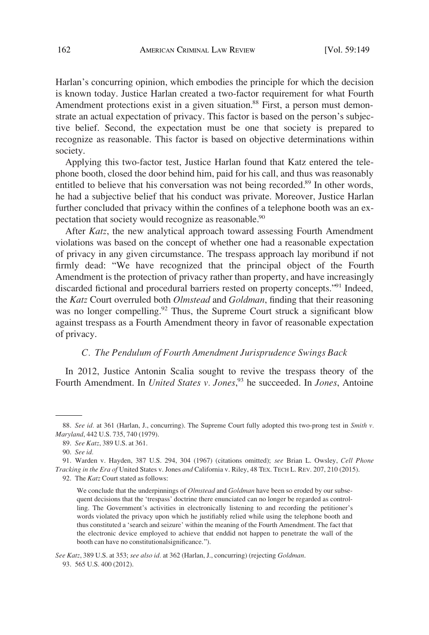<span id="page-13-0"></span>Harlan's concurring opinion, which embodies the principle for which the decision is known today. Justice Harlan created a two-factor requirement for what Fourth Amendment protections exist in a given situation.<sup>88</sup> First, a person must demonstrate an actual expectation of privacy. This factor is based on the person's subjective belief. Second, the expectation must be one that society is prepared to recognize as reasonable. This factor is based on objective determinations within society.

Applying this two-factor test, Justice Harlan found that Katz entered the telephone booth, closed the door behind him, paid for his call, and thus was reasonably entitled to believe that his conversation was not being recorded.<sup>89</sup> In other words, he had a subjective belief that his conduct was private. Moreover, Justice Harlan further concluded that privacy within the confines of a telephone booth was an expectation that society would recognize as reasonable.<sup>90</sup>

After *Katz*, the new analytical approach toward assessing Fourth Amendment violations was based on the concept of whether one had a reasonable expectation of privacy in any given circumstance. The trespass approach lay moribund if not firmly dead: "We have recognized that the principal object of the Fourth Amendment is the protection of privacy rather than property, and have increasingly discarded fictional and procedural barriers rested on property concepts."91 Indeed, the *Katz* Court overruled both *Olmstead* and *Goldman*, finding that their reasoning was no longer compelling.<sup>92</sup> Thus, the Supreme Court struck a significant blow against trespass as a Fourth Amendment theory in favor of reasonable expectation of privacy.

#### *C. The Pendulum of Fourth Amendment Jurisprudence Swings Back*

In 2012, Justice Antonin Scalia sought to revive the trespass theory of the Fourth Amendment. In *United States v. Jones*, 93 he succeeded. In *Jones*, Antoine

<sup>88.</sup> *See id.* at 361 (Harlan, J., concurring). The Supreme Court fully adopted this two-prong test in *Smith v. Maryland*, 442 U.S. 735, 740 (1979).

<sup>89.</sup> *See Katz*, 389 U.S. at 361.

<sup>90.</sup> *See id.* 

<sup>91.</sup> Warden v. Hayden, 387 U.S. 294, 304 (1967) (citations omitted); *see* Brian L. Owsley, *Cell Phone Tracking in the Era of* United States v. Jones *and* California v. Riley, 48 TEX. TECH L. REV. 207, 210 (2015).

<sup>92.</sup> The *Katz* Court stated as follows:

We conclude that the underpinnings of *Olmstead* and *Goldman* have been so eroded by our subsequent decisions that the 'trespass' doctrine there enunciated can no longer be regarded as controlling. The Government's activities in electronically listening to and recording the petitioner's words violated the privacy upon which he justifiably relied while using the telephone booth and thus constituted a 'search and seizure' within the meaning of the Fourth Amendment. The fact that the electronic device employed to achieve that enddid not happen to penetrate the wall of the booth can have no constitutionalsignificance.").

*See Katz*, 389 U.S. at 353; *see also id.* at 362 (Harlan, J., concurring) (rejecting *Goldman*. 93. 565 U.S. 400 (2012).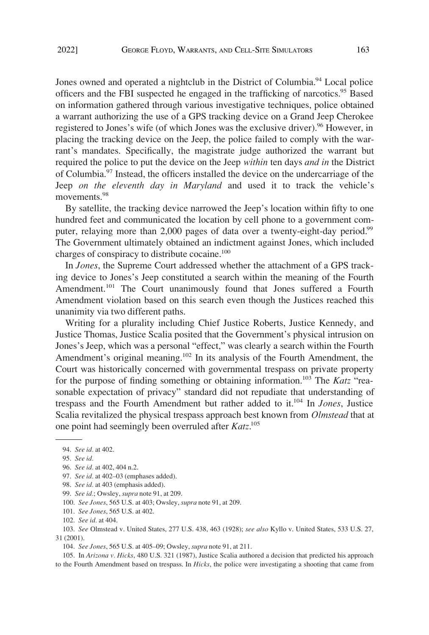Jones owned and operated a nightclub in the District of Columbia.<sup>94</sup> Local police officers and the FBI suspected he engaged in the trafficking of narcotics.95 Based on information gathered through various investigative techniques, police obtained a warrant authorizing the use of a GPS tracking device on a Grand Jeep Cherokee registered to Jones's wife (of which Jones was the exclusive driver).<sup>96</sup> However, in placing the tracking device on the Jeep, the police failed to comply with the warrant's mandates. Specifically, the magistrate judge authorized the warrant but required the police to put the device on the Jeep *within* ten days *and in* the District of Columbia.97 Instead, the officers installed the device on the undercarriage of the Jeep *on the eleventh day in Maryland* and used it to track the vehicle's movements.<sup>98</sup>

By satellite, the tracking device narrowed the Jeep's location within fifty to one hundred feet and communicated the location by cell phone to a government computer, relaying more than 2,000 pages of data over a twenty-eight-day period.<sup>99</sup> The Government ultimately obtained an indictment against Jones, which included charges of conspiracy to distribute cocaine.<sup>100</sup>

In *Jones*, the Supreme Court addressed whether the attachment of a GPS tracking device to Jones's Jeep constituted a search within the meaning of the Fourth Amendment.<sup>101</sup> The Court unanimously found that Jones suffered a Fourth Amendment violation based on this search even though the Justices reached this unanimity via two different paths.

Writing for a plurality including Chief Justice Roberts, Justice Kennedy, and Justice Thomas, Justice Scalia posited that the Government's physical intrusion on Jones's Jeep, which was a personal "effect," was clearly a search within the Fourth Amendment's original meaning.<sup>102</sup> In its analysis of the Fourth Amendment, the Court was historically concerned with governmental trespass on private property for the purpose of finding something or obtaining information.103 The *Katz* "reasonable expectation of privacy" standard did not repudiate that understanding of trespass and the Fourth Amendment but rather added to it.104 In *Jones*, Justice Scalia revitalized the physical trespass approach best known from *Olmstead* that at one point had seemingly been overruled after *Katz*. 105

105. In *Arizona v. Hicks*, 480 U.S. 321 (1987), Justice Scalia authored a decision that predicted his approach to the Fourth Amendment based on trespass. In *Hicks*, the police were investigating a shooting that came from

<sup>94.</sup> *See id.* at 402.

<sup>95.</sup> *See id.* 

<sup>96.</sup> *See id.* at 402, 404 n.2.

<sup>97.</sup> *See id.* at 402–03 (emphases added).

<sup>98.</sup> *See id.* at 403 (emphasis added).

<sup>99.</sup> *See id.*; Owsley, *supra* note 91, at 209.

<sup>100.</sup> *See Jones*, 565 U.S. at 403; Owsley, *supra* note 91, at 209.

<sup>101.</sup> *See Jones*, 565 U.S. at 402.

<sup>102.</sup> *See id.* at 404.

<sup>103.</sup> *See* Olmstead v. United States, 277 U.S. 438, 463 (1928); *see also* Kyllo v. United States, 533 U.S. 27, 31 (2001).

<sup>104.</sup> *See Jones*, 565 U.S. at 405–09; Owsley, *supra* note 91, at 211.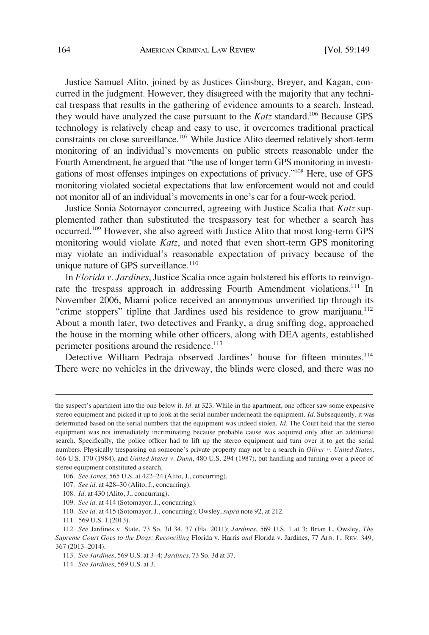Justice Samuel Alito, joined by as Justices Ginsburg, Breyer, and Kagan, concurred in the judgment. However, they disagreed with the majority that any technical trespass that results in the gathering of evidence amounts to a search. Instead, they would have analyzed the case pursuant to the *Katz* standard.106 Because GPS technology is relatively cheap and easy to use, it overcomes traditional practical constraints on close surveillance.<sup>107</sup> While Justice Alito deemed relatively short-term monitoring of an individual's movements on public streets reasonable under the Fourth Amendment, he argued that "the use of longer term GPS monitoring in investigations of most offenses impinges on expectations of privacy."108 Here, use of GPS monitoring violated societal expectations that law enforcement would not and could not monitor all of an individual's movements in one's car for a four-week period.

Justice Sonia Sotomayor concurred, agreeing with Justice Scalia that *Katz* supplemented rather than substituted the trespassory test for whether a search has occurred.<sup>109</sup> However, she also agreed with Justice Alito that most long-term GPS monitoring would violate *Katz*, and noted that even short-term GPS monitoring may violate an individual's reasonable expectation of privacy because of the unique nature of GPS surveillance. $110$ 

In *Florida v. Jardines*, Justice Scalia once again bolstered his efforts to reinvigorate the trespass approach in addressing Fourth Amendment violations.<sup>111</sup> In November 2006, Miami police received an anonymous unverified tip through its "crime stoppers" tipline that Jardines used his residence to grow marijuana.<sup>112</sup> About a month later, two detectives and Franky, a drug sniffing dog, approached the house in the morning while other officers, along with DEA agents, established perimeter positions around the residence.<sup>113</sup>

Detective William Pedraja observed Jardines' house for fifteen minutes.<sup>114</sup> There were no vehicles in the driveway, the blinds were closed, and there was no

- 108. *Id.* at 430 (Alito, J., concurring).
- 109. *See id.* at 414 (Sotomayor, J., concurring).
- 110. *See id.* at 415 (Sotomayor, J., concurring); Owsley, *supra* note 92, at 212.
- 111. 569 U.S. 1 (2013).

the suspect's apartment into the one below it. *Id.* at 323. While in the apartment, one officer saw some expensive stereo equipment and picked it up to look at the serial number underneath the equipment. *Id.* Subsequently, it was determined based on the serial numbers that the equipment was indeed stolen. *Id.* The Court held that the stereo equipment was not immediately incriminating because probable cause was acquired only after an additional search. Specifically, the police officer had to lift up the stereo equipment and turn over it to get the serial numbers. Physically trespassing on someone's private property may not be a search in *Oliver v. United States*, 466 U.S. 170 (1984), and *United States v. Dunn*, 480 U.S. 294 (1987), but handling and turning over a piece of stereo equipment constituted a search.

<sup>106.</sup> *See Jones*, 565 U.S. at 422–24 (Alito, J., concurring).

<sup>107.</sup> *See id.* at 428–30 (Alito, J., concurring).

<sup>112.</sup> *See* Jardines v. State, 73 So. 3d 34, 37 (Fla. 2011); *Jardines*, 569 U.S. 1 at 3; Brian L. Owsley, *The Supreme Court Goes to the Dogs: Reconciling* Florida v. Harris *and* Florida v. Jardines, 77 ALB. L. REV. 349, 367 (2013–2014).

<sup>113.</sup> *See Jardines*, 569 U.S. at 3–4; *Jardines*, 73 So. 3d at 37.

<sup>114.</sup> *See Jardines*, 569 U.S. at 3.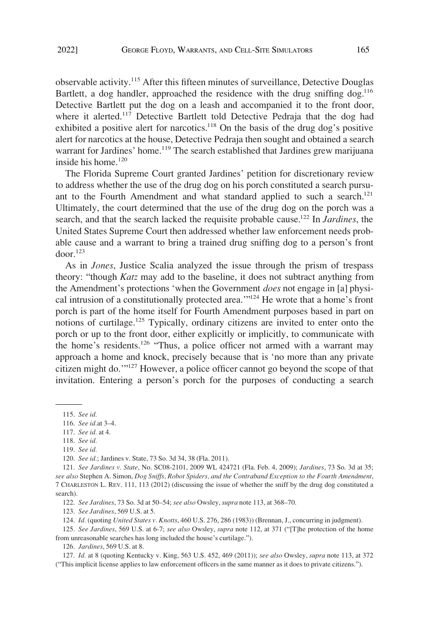observable activity.<sup>115</sup> After this fifteen minutes of surveillance, Detective Douglas Bartlett, a dog handler, approached the residence with the drug sniffing dog.<sup>116</sup> Detective Bartlett put the dog on a leash and accompanied it to the front door, where it alerted.<sup>117</sup> Detective Bartlett told Detective Pedraja that the dog had exhibited a positive alert for narcotics.<sup>118</sup> On the basis of the drug dog's positive alert for narcotics at the house, Detective Pedraja then sought and obtained a search warrant for Jardines' home.<sup>119</sup> The search established that Jardines grew marijuana inside his home. $120$ 

The Florida Supreme Court granted Jardines' petition for discretionary review to address whether the use of the drug dog on his porch constituted a search pursuant to the Fourth Amendment and what standard applied to such a search.<sup>121</sup> Ultimately, the court determined that the use of the drug dog on the porch was a search, and that the search lacked the requisite probable cause.122 In *Jardines*, the United States Supreme Court then addressed whether law enforcement needs probable cause and a warrant to bring a trained drug sniffing dog to a person's front  $d$ oor.<sup>123</sup>

As in *Jones*, Justice Scalia analyzed the issue through the prism of trespass theory: "though *Katz* may add to the baseline, it does not subtract anything from the Amendment's protections 'when the Government *does* not engage in [a] physical intrusion of a constitutionally protected area."<sup>124</sup> He wrote that a home's front porch is part of the home itself for Fourth Amendment purposes based in part on notions of curtilage.125 Typically, ordinary citizens are invited to enter onto the porch or up to the front door, either explicitly or implicitly, to communicate with the home's residents.<sup>126</sup> "Thus, a police officer not armed with a warrant may approach a home and knock, precisely because that is 'no more than any private citizen might do.'"127 However, a police officer cannot go beyond the scope of that invitation. Entering a person's porch for the purposes of conducting a search

120. *See id.*; Jardines v. State, 73 So. 3d 34, 38 (Fla. 2011).

122. *See Jardines*, 73 So. 3d at 50–54; *see also* Owsley, *supra* note 113, at 368–70.

123. *See Jardines*, 569 U.S. at 5.

124. *Id.* (quoting *United States v. Knotts*, 460 U.S. 276, 286 (1983)) (Brennan, J., concurring in judgment).

125. *See Jardines*, 569 U.S. at 6-7; *see also* Owsley, *supra* note 112, at 371 ("[T]he protection of the home from unreasonable searches has long included the house's curtilage.").

126. *Jardines*, 569 U.S. at 8.

127. *Id.* at 8 (quoting Kentucky v. King, 563 U.S. 452, 469 (2011)); *see also* Owsley, *supra* note 113, at 372 ("This implicit license applies to law enforcement officers in the same manner as it does to private citizens.").

<sup>115.</sup> *See id.* 

<sup>116.</sup> *See id.*at 3–4.

<sup>117.</sup> *See id.* at 4.

<sup>118.</sup> *See id.* 

<sup>119.</sup> *See id.* 

<sup>121.</sup> *See Jardines v. State*, No. SC08-2101, 2009 WL 424721 (Fla. Feb. 4, 2009); *Jardines*, 73 So. 3d at 35; *see also* Stephen A. Simon, *Dog Sniffs, Robot Spiders, and the Contraband Exception to the Fourth Amendment*, 7 CHARLESTON L. REV. 111, 113 (2012) (discussing the issue of whether the sniff by the drug dog constituted a search).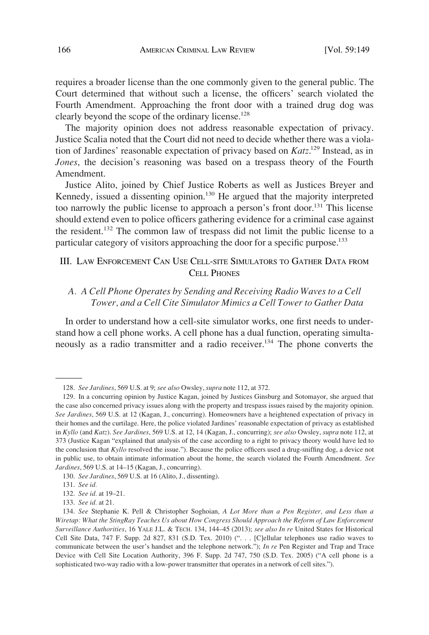<span id="page-17-0"></span>requires a broader license than the one commonly given to the general public. The Court determined that without such a license, the officers' search violated the Fourth Amendment. Approaching the front door with a trained drug dog was clearly beyond the scope of the ordinary license.<sup>128</sup>

The majority opinion does not address reasonable expectation of privacy. Justice Scalia noted that the Court did not need to decide whether there was a violation of Jardines' reasonable expectation of privacy based on *Katz*. 129 Instead, as in *Jones*, the decision's reasoning was based on a trespass theory of the Fourth Amendment.

Justice Alito, joined by Chief Justice Roberts as well as Justices Breyer and Kennedy, issued a dissenting opinion.<sup>130</sup> He argued that the majority interpreted too narrowly the public license to approach a person's front door.<sup>131</sup> This license should extend even to police officers gathering evidence for a criminal case against the resident.<sup>132</sup> The common law of trespass did not limit the public license to a particular category of visitors approaching the door for a specific purpose.<sup>133</sup>

# III. LAW ENFORCEMENT CAN USE CELL-SITE SIMULATORS TO GATHER DATA FROM CELL PHONES

# *A. A Cell Phone Operates by Sending and Receiving Radio Waves to a Cell Tower, and a Cell Cite Simulator Mimics a Cell Tower to Gather Data*

In order to understand how a cell-site simulator works, one first needs to understand how a cell phone works. A cell phone has a dual function, operating simultaneously as a radio transmitter and a radio receiver.<sup>134</sup> The phone converts the

<sup>128.</sup> *See Jardines*, 569 U.S. at 9; *see also* Owsley, *supra* note 112, at 372.

<sup>129.</sup> In a concurring opinion by Justice Kagan, joined by Justices Ginsburg and Sotomayor, she argued that the case also concerned privacy issues along with the property and trespass issues raised by the majority opinion. *See Jardines*, 569 U.S. at 12 (Kagan, J., concurring). Homeowners have a heightened expectation of privacy in their homes and the curtilage. Here, the police violated Jardines' reasonable expectation of privacy as established in *Kyllo* (and *Katz*). *See Jardines*, 569 U.S. at 12, 14 (Kagan, J., concurring); *see also* Owsley, *supra* note 112, at 373 (Justice Kagan "explained that analysis of the case according to a right to privacy theory would have led to the conclusion that *Kyllo* resolved the issue."). Because the police officers used a drug-sniffing dog, a device not in public use, to obtain intimate information about the home, the search violated the Fourth Amendment. *See Jardines*, 569 U.S. at 14–15 (Kagan, J., concurring).

<sup>130.</sup> *See Jardines*, 569 U.S. at 16 (Alito, J., dissenting).

<sup>131.</sup> *See id.* 

<sup>132.</sup> *See id.* at 19–21.

<sup>133.</sup> *See id.* at 21.

<sup>134.</sup> *See* Stephanie K. Pell & Christopher Soghoian, *A Lot More than a Pen Register, and Less than a Wiretap: What the StingRay Teaches Us about How Congress Should Approach the Reform of Law Enforcement Surveillance Authorities*, 16 YALE J.L. & TECH. 134, 144–45 (2013); *see also In re* United States for Historical Cell Site Data, 747 F. Supp. 2d 827, 831 (S.D. Tex. 2010) (". . . [C]ellular telephones use radio waves to communicate between the user's handset and the telephone network."); *In re* Pen Register and Trap and Trace Device with Cell Site Location Authority, 396 F. Supp. 2d 747, 750 (S.D. Tex. 2005) ("A cell phone is a sophisticated two-way radio with a low-power transmitter that operates in a network of cell sites.").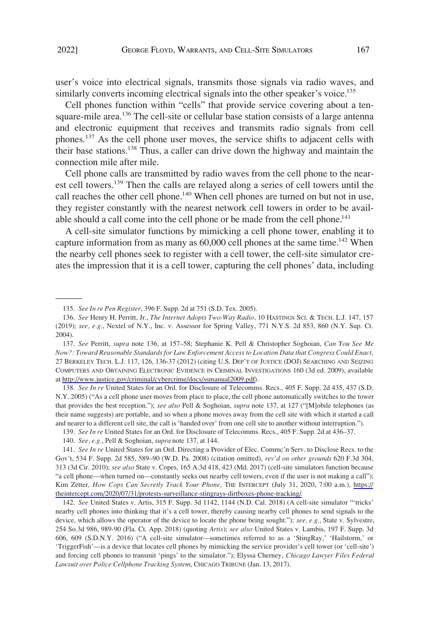user's voice into electrical signals, transmits those signals via radio waves, and similarly converts incoming electrical signals into the other speaker's voice.<sup>135</sup>

Cell phones function within "cells" that provide service covering about a tensquare-mile area.<sup>136</sup> The cell-site or cellular base station consists of a large antenna and electronic equipment that receives and transmits radio signals from cell phones.<sup>137</sup> As the cell phone user moves, the service shifts to adjacent cells with their base stations.138 Thus, a caller can drive down the highway and maintain the connection mile after mile.

Cell phone calls are transmitted by radio waves from the cell phone to the nearest cell towers.<sup>139</sup> Then the calls are relayed along a series of cell towers until the call reaches the other cell phone.<sup>140</sup> When cell phones are turned on but not in use, they register constantly with the nearest network cell towers in order to be available should a call come into the cell phone or be made from the cell phone.<sup>141</sup>

A cell-site simulator functions by mimicking a cell phone tower, enabling it to capture information from as many as  $60,000$  cell phones at the same time.<sup>142</sup> When the nearby cell phones seek to register with a cell tower, the cell-site simulator creates the impression that it is a cell tower, capturing the cell phones' data, including

138. *See In re* United States for an Ord. for Disclosure of Telecomms. Recs., 405 F. Supp. 2d 435, 437 (S.D. N.Y. 2005) ("As a cell phone user moves from place to place, the cell phone automatically switches to the tower that provides the best reception."); *see also* Pell & Soghoian, *supra* note 137, at 127 ("[M]obile telephones (as their name suggests) are portable, and so when a phone moves away from the cell site with which it started a call and nearer to a different cell site, the call is 'handed over' from one cell site to another without interruption.").

139. *See In re* United States for an Ord. for Disclosure of Telecomms. Recs., 405 F. Supp. 2d at 436–37.

142. *See* United States v. Artis, 315 F. Supp. 3d 1142, 1144 (N.D. Cal. 2018) (A cell-site simulator "'tricks' nearby cell phones into thinking that it's a cell tower, thereby causing nearby cell phones to send signals to the device, which allows the operator of the device to locate the phone being sought."); *see, e.g.*, State v. Sylvestre, 254 So.3d 986, 989-90 (Fla. Ct. App. 2018) (quoting *Artis*); *see also* United States v. Lambis, 197 F. Supp. 3d 606, 609 (S.D.N.Y. 2016) ("A cell-site simulator—sometimes referred to as a 'StingRay,' 'Hailstorm,' or 'TriggerFish'—is a device that locates cell phones by mimicking the service provider's cell tower (or 'cell-site') and forcing cell phones to transmit 'pings' to the simulator."); Elyssa Cherney, *Chicago Lawyer Files Federal Lawsuit over Police Cellphone Tracking System*, CHICAGO TRIBUNE (Jan. 13, 2017).

<sup>135.</sup> *See In re Pen Register*, 396 F. Supp. 2d at 751 (S.D. Tex. 2005).

<sup>136.</sup> *See* Henry H. Perritt, Jr., *The Internet Adopts Two-Way Radio*, 10 HASTINGS SCI. & TECH. L.J. 147, 157 (2019); *see, e.g.*, Nextel of N.Y., Inc. v. Assessor for Spring Valley, 771 N.Y.S. 2d 853, 860 (N.Y. Sup. Ct. 2004).

*See* Perritt, *supra* note 136, at 157–58; Stephanie K. Pell & Christopher Soghoian, *Can You See Me*  137. *Now?: Toward Reasonable Standards for Law Enforcement Access to Location Data that Congress Could Enact*, 27 BERKELEY TECH. L.J. 117, 126, 136-37 (2012) (citing U.S. DEP'T OF JUSTICE (DOJ) SEARCHING AND SEIZING COMPUTERS AND OBTAINING ELECTRONIC EVIDENCE IN CRIMINAL INVESTIGATIONS 160 (3d ed. 2009), available at [http://www.justice.gov/criminal/cybercrime/docs/ssmanual2009.pdf\)](http://www.justice.gov/criminal/cybercrime/docs/ssmanual2009.pdf).

<sup>140.</sup> *See, e.g.*, Pell & Soghoian, *supra* note 137, at 144.

<sup>141.</sup> See In re United States for an Ord. Directing a Provider of Elec. Commc'n Serv. to Disclose Recs. to the Gov't, 534 F. Supp. 2d 585, 589–90 (W.D. Pa. 2008) (citation omitted), *rev'd on other grounds* 620 F.3d 304, 313 (3d Cir. 2010); *see also* State v. Copes, 165 A.3d 418, 423 (Md. 2017) (cell-site simulators function because "a cell phone—when turned on—constantly seeks out nearby cell towers, even if the user is not making a call"); Kim Zetter, *How Cops Can Secretly Track Your Phone*, THE INTERCEPT (July 31, 2020, 7:00 a.m.), [https://](https://theintercept.com/2020/07/31/protests-surveillance-stingrays-dirtboxes-phone-tracking/) [theintercept.com/2020/07/31/protests-surveillance-stingrays-dirtboxes-phone-tracking/.](https://theintercept.com/2020/07/31/protests-surveillance-stingrays-dirtboxes-phone-tracking/)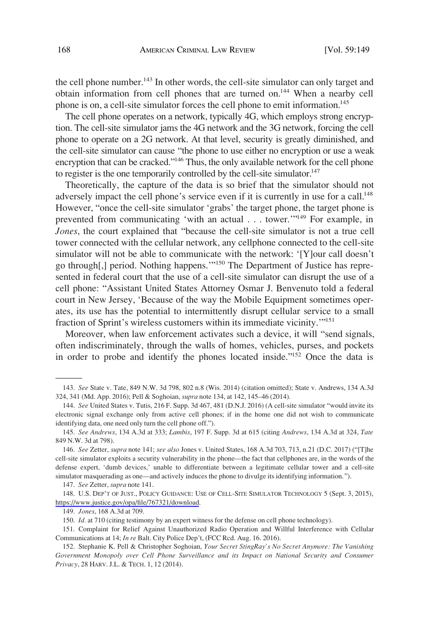the cell phone number.<sup>143</sup> In other words, the cell-site simulator can only target and obtain information from cell phones that are turned on.144 When a nearby cell phone is on, a cell-site simulator forces the cell phone to emit information.<sup>145</sup>

The cell phone operates on a network, typically 4G, which employs strong encryption. The cell-site simulator jams the 4G network and the 3G network, forcing the cell phone to operate on a 2G network. At that level, security is greatly diminished, and the cell-site simulator can cause "the phone to use either no encryption or use a weak encryption that can be cracked."<sup>146</sup> Thus, the only available network for the cell phone to register is the one temporarily controlled by the cell-site simulator.<sup>147</sup>

Theoretically, the capture of the data is so brief that the simulator should not adversely impact the cell phone's service even if it is currently in use for a call.<sup>148</sup> However, "once the cell-site simulator 'grabs' the target phone, the target phone is prevented from communicating 'with an actual . . . tower.'"<sup>149</sup> For example, in *Jones*, the court explained that "because the cell-site simulator is not a true cell tower connected with the cellular network, any cellphone connected to the cell-site simulator will not be able to communicate with the network: '[Y]our call doesn't go through[,] period. Nothing happens.'"150 The Department of Justice has represented in federal court that the use of a cell-site simulator can disrupt the use of a cell phone: "Assistant United States Attorney Osmar J. Benvenuto told a federal court in New Jersey, 'Because of the way the Mobile Equipment sometimes operates, its use has the potential to intermittently disrupt cellular service to a small fraction of Sprint's wireless customers within its immediate vicinity.'"<sup>151</sup>

Moreover, when law enforcement activates such a device, it will "send signals, often indiscriminately, through the walls of homes, vehicles, purses, and pockets in order to probe and identify the phones located inside."152 Once the data is

<sup>143.</sup> *See* State v. Tate, 849 N.W. 3d 798, 802 n.8 (Wis. 2014) (citation omitted); State v. Andrews, 134 A.3d 324, 341 (Md. App. 2016); Pell & Soghoian, *supra* note 134, at 142, 145–46 (2014).

<sup>144.</sup> *See* United States v. Tutis, 216 F. Supp. 3d 467, 481 (D.N.J. 2016) (A cell-site simulator "would invite its electronic signal exchange only from active cell phones; if in the home one did not wish to communicate identifying data, one need only turn the cell phone off.").

<sup>145.</sup> *See Andrews*, 134 A.3d at 333; *Lambis*, 197 F. Supp. 3d at 615 (citing *Andrews*, 134 A.3d at 324, *Tate*  849 N.W. 3d at 798).

<sup>146.</sup> *See* Zetter, *supra* note 141; *see also* Jones v. United States, 168 A.3d 703, 713, n.21 (D.C. 2017) ("[T]he cell-site simulator exploits a security vulnerability in the phone—the fact that cellphones are, in the words of the defense expert, 'dumb devices,' unable to differentiate between a legitimate cellular tower and a cell-site simulator masquerading as one—and actively induces the phone to divulge its identifying information.").

<sup>147.</sup> *See* Zetter, *supra* note 141.

<sup>148.</sup> U.S. DEP'T OF JUST., POLICY GUIDANCE: USE OF CELL-SITE SIMULATOR TECHNOLOGY 5 (Sept. 3, 2015), [https://www.justice.gov/opa/file/767321/download.](https://www.justice.gov/opa/file/767321/download)

<sup>149.</sup> *Jones*, 168 A.3d at 709.

<sup>150.</sup> *Id.* at 710 (citing testimony by an expert witness for the defense on cell phone technology).

<sup>151.</sup> Complaint for Relief Against Unauthorized Radio Operation and Willful Interference with Cellular Communications at 14; *In re* Balt. City Police Dep't, (FCC Rcd. Aug. 16. 2016).

<sup>152.</sup> Stephanie K. Pell & Christopher Soghoian, *Your Secret StingRay's No Secret Anymore: The Vanishing Government Monopoly over Cell Phone Surveillance and its Impact on National Security and Consumer Privacy*, 28 HARV. J.L. & TECH. 1, 12 (2014).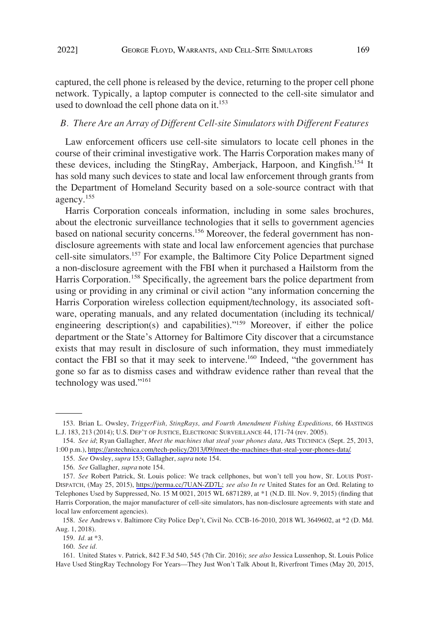<span id="page-20-0"></span>captured, the cell phone is released by the device, returning to the proper cell phone network. Typically, a laptop computer is connected to the cell-site simulator and used to download the cell phone data on it. $153$ 

#### *B. There Are an Array of Different Cell-site Simulators with Different Features*

Law enforcement officers use cell-site simulators to locate cell phones in the course of their criminal investigative work. The Harris Corporation makes many of these devices, including the StingRay, Amberjack, Harpoon, and Kingfish.<sup>154</sup> It has sold many such devices to state and local law enforcement through grants from the Department of Homeland Security based on a sole-source contract with that agency.155

Harris Corporation conceals information, including in some sales brochures, about the electronic surveillance technologies that it sells to government agencies based on national security concerns.<sup>156</sup> Moreover, the federal government has nondisclosure agreements with state and local law enforcement agencies that purchase cell-site simulators.<sup>157</sup> For example, the Baltimore City Police Department signed a non-disclosure agreement with the FBI when it purchased a Hailstorm from the Harris Corporation.<sup>158</sup> Specifically, the agreement bars the police department from using or providing in any criminal or civil action "any information concerning the Harris Corporation wireless collection equipment/technology, its associated software, operating manuals, and any related documentation (including its technical/ engineering description(s) and capabilities)."159 Moreover, if either the police department or the State's Attorney for Baltimore City discover that a circumstance exists that may result in disclosure of such information, they must immediately contact the FBI so that it may seek to intervene.<sup>160</sup> Indeed, "the government has gone so far as to dismiss cases and withdraw evidence rather than reveal that the technology was used."<sup>161</sup>

<sup>153.</sup> Brian L. Owsley, *TriggerFish, StingRays, and Fourth Amendment Fishing Expeditions*, 66 HASTINGS L.J. 183, 213 (2014); U.S. DEP'T OF JUSTICE, ELECTRONIC SURVEILLANCE 44, 171-74 (rev. 2005).

*See id*; Ryan Gallagher, *Meet the machines that steal your phones data*, ARS TECHNICA (Sept. 25, 2013, 154. 1:00 p.m.), [https://arstechnica.com/tech-policy/2013/09/meet-the-machines-that-steal-your-phones-data/.](https://arstechnica.com/tech-policy/2013/09/meet-the-machines-that-steal-your-phones-data/)

<sup>155.</sup> *See* Owsley, *supra* 153; Gallagher, *supra* note 154.

<sup>156.</sup> *See* Gallagher, *supra* note 154.

<sup>157.</sup> See Robert Patrick, St. Louis police: We track cellphones, but won't tell you how, Sr. Louis Post-DISPATCH, (May 25, 2015), [https://perma.cc/7UAN-ZD7L;](https://perma.cc/7UAN-ZD7L) *see also In re* United States for an Ord. Relating to Telephones Used by Suppressed, No. 15 M 0021, 2015 WL 6871289, at \*1 (N.D. Ill. Nov. 9, 2015) (finding that Harris Corporation, the major manufacturer of cell-site simulators, has non-disclosure agreements with state and local law enforcement agencies).

<sup>158.</sup> *See* Andrews v. Baltimore City Police Dep't, Civil No. CCB-16-2010, 2018 WL 3649602, at \*2 (D. Md. Aug. 1, 2018).

<sup>159.</sup> *Id.* at \*3.

<sup>160.</sup> *See id.* 

<sup>161.</sup> United States v. Patrick, 842 F.3d 540, 545 (7th Cir. 2016); *see also* Jessica Lussenhop, St. Louis Police Have Used StingRay Technology For Years—They Just Won't Talk About It, Riverfront Times (May 20, 2015,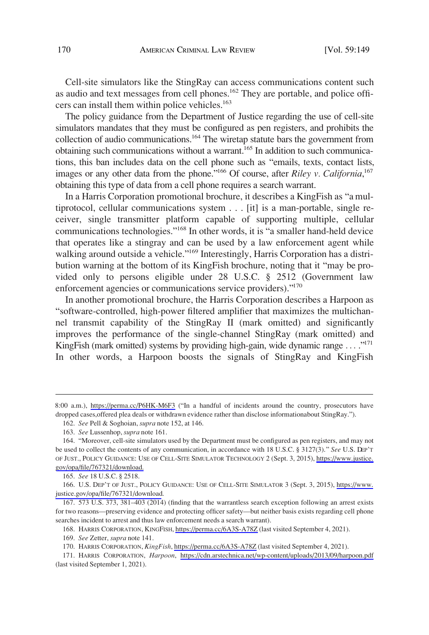Cell-site simulators like the StingRay can access communications content such as audio and text messages from cell phones.<sup>162</sup> They are portable, and police officers can install them within police vehicles.<sup>163</sup>

The policy guidance from the Department of Justice regarding the use of cell-site simulators mandates that they must be configured as pen registers, and prohibits the collection of audio communications.<sup>164</sup> The wiretap statute bars the government from obtaining such communications without a warrant.<sup>165</sup> In addition to such communications, this ban includes data on the cell phone such as "emails, texts, contact lists, images or any other data from the phone."<sup>166</sup> Of course, after *Riley v. California*,<sup>167</sup> obtaining this type of data from a cell phone requires a search warrant.

In a Harris Corporation promotional brochure, it describes a KingFish as "a multiprotocol, cellular communications system . . . [it] is a man-portable, single receiver, single transmitter platform capable of supporting multiple, cellular communications technologies."<sup>168</sup> In other words, it is "a smaller hand-held device that operates like a stingray and can be used by a law enforcement agent while walking around outside a vehicle."<sup>169</sup> Interestingly, Harris Corporation has a distribution warning at the bottom of its KingFish brochure, noting that it "may be provided only to persons eligible under 28 U.S.C. § 2512 (Government law enforcement agencies or communications service providers)."<sup>170</sup>

In another promotional brochure, the Harris Corporation describes a Harpoon as "software-controlled, high-power filtered amplifier that maximizes the multichannel transmit capability of the StingRay II (mark omitted) and significantly improves the performance of the single-channel StingRay (mark omitted) and KingFish (mark omitted) systems by providing high-gain, wide dynamic range ...."<sup>171</sup> In other words, a Harpoon boosts the signals of StingRay and KingFish

165. *See* 18 U.S.C. § 2518.

166. U.S. DEP'T OF JUST., POLICY GUIDANCE: USE OF CELL-SITE SIMULATOR 3 (Sept. 3, 2015), [https://www.](https://www.justice.gov/opa/file/767321/download) [justice.gov/opa/file/767321/download](https://www.justice.gov/opa/file/767321/download).

167. 573 U.S. 373, 381–403 (2014) (finding that the warrantless search exception following an arrest exists for two reasons—preserving evidence and protecting officer safety—but neither basis exists regarding cell phone searches incident to arrest and thus law enforcement needs a search warrant).

168. HARRIS CORPORATION, KINGFISH,<https://perma.cc/6A3S-A78Z>(last visited September 4, 2021).

169. *See* Zetter, *supra* note 141.

170. HARRIS CORPORATION, *KingFish*,<https://perma.cc/6A3S-A78Z>(last visited September 4, 2021).

<sup>8:00</sup> a.m.), <https://perma.cc/P6HK-M6F3>("In a handful of incidents around the country, prosecutors have dropped cases,offered plea deals or withdrawn evidence rather than disclose informationabout StingRay.").

<sup>162.</sup> *See* Pell & Soghoian, *supra* note 152, at 146.

<sup>163.</sup> *See* Lussenhop, *supra* note 161.

<sup>164. &</sup>quot;Moreover, cell-site simulators used by the Department must be configured as pen registers, and may not be used to collect the contents of any communication, in accordance with 18 U.S.C. § 3127(3)." *See* U.S. DEP'T OF JUST., POLICY GUIDANCE: USE OF CELL-SITE SIMULATOR TECHNOLOGY 2 (Sept. 3, 2015), [https://www.justice.](https://www.justice.gov/opa/file/767321/download) [gov/opa/file/767321/download.](https://www.justice.gov/opa/file/767321/download)

<sup>171.</sup> HARRIS CORPORATION, *Harpoon*, <https://cdn.arstechnica.net/wp-content/uploads/2013/09/harpoon.pdf> (last visited September 1, 2021).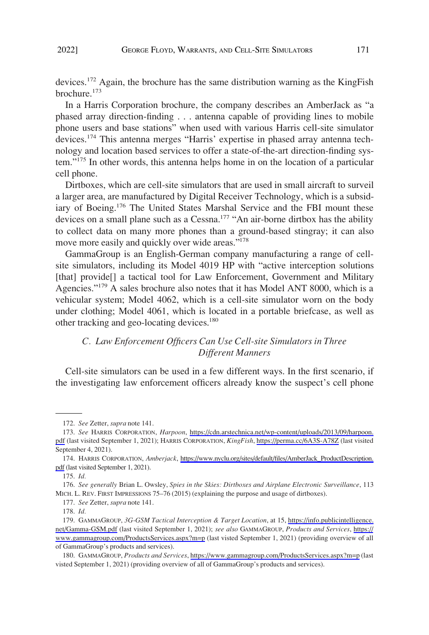<span id="page-22-0"></span>devices.172 Again, the brochure has the same distribution warning as the KingFish brochure.173

In a Harris Corporation brochure, the company describes an AmberJack as "a phased array direction-finding . . . antenna capable of providing lines to mobile phone users and base stations" when used with various Harris cell-site simulator devices.<sup>174</sup> This antenna merges "Harris' expertise in phased array antenna technology and location based services to offer a state-of-the-art direction-finding system."175 In other words, this antenna helps home in on the location of a particular cell phone.

Dirtboxes, which are cell-site simulators that are used in small aircraft to surveil a larger area, are manufactured by Digital Receiver Technology, which is a subsidiary of Boeing.<sup>176</sup> The United States Marshal Service and the FBI mount these devices on a small plane such as a Cessna.<sup>177</sup> "An air-borne dirtbox has the ability to collect data on many more phones than a ground-based stingray; it can also move more easily and quickly over wide areas."<sup>178</sup>

GammaGroup is an English-German company manufacturing a range of cellsite simulators, including its Model 4019 HP with "active interception solutions [that] provide<sup>[]</sup> a tactical tool for Law Enforcement, Government and Military Agencies."<sup>179</sup> A sales brochure also notes that it has Model ANT 8000, which is a vehicular system; Model 4062, which is a cell-site simulator worn on the body under clothing; Model 4061, which is located in a portable briefcase, as well as other tracking and geo-locating devices.<sup>180</sup>

# *C. Law Enforcement Officers Can Use Cell-site Simulators in Three Different Manners*

Cell-site simulators can be used in a few different ways. In the first scenario, if the investigating law enforcement officers already know the suspect's cell phone

<sup>172.</sup> *See* Zetter, *supra* note 141.

*See* HARRIS CORPORATION, *Harpoon*, [https://cdn.arstechnica.net/wp-content/uploads/2013/09/harpoon.](https://cdn.arstechnica.net/wp-content/uploads/2013/09/harpoon.pdf) 173. [pdf](https://cdn.arstechnica.net/wp-content/uploads/2013/09/harpoon.pdf) (last visited September 1, 2021); HARRIS CORPORATION, *KingFish*, <https://perma.cc/6A3S-A78Z> (last visited September 4, 2021).

<sup>174.</sup> HARRIS CORPORATION, Amberjack, [https://www.nyclu.org/sites/default/files/AmberJack\\_ProductDescription.](https://www.nyclu.org/sites/default/files/AmberJack_ProductDescription.pdf) [pdf](https://www.nyclu.org/sites/default/files/AmberJack_ProductDescription.pdf) (last visited September 1, 2021).

<sup>175.</sup> *Id.* 

<sup>176.</sup> *See generally* Brian L. Owsley, *Spies in the Skies: Dirtboxes and Airplane Electronic Surveillance*, 113 MICH. L. REV. FIRST IMPRESSIONS 75–76 (2015) (explaining the purpose and usage of dirtboxes).

<sup>177.</sup> *See* Zetter, *supra* note 141.

<sup>178.</sup> *Id.* 

<sup>179.</sup> GAMMAGROUP, 3G-GSM Tactical Interception & Target Location, at 15, https://info.publicintelligence. [net/Gamma-GSM.pdf](https://info.publicintelligence.net/Gamma-GSM.pdf) (last visited September 1, 2021); *see also* GAMMAGROUP, *Products and Services*, [https://](https://www.gammagroup.com/ProductsServices.aspx?m=p) [www.gammagroup.com/ProductsServices.aspx?m=p](https://www.gammagroup.com/ProductsServices.aspx?m=p) (last visted September 1, 2021) (providing overview of all of GammaGroup's products and services).

<sup>180.</sup> GAMMAGROUP, *Products and Services*,<https://www.gammagroup.com/ProductsServices.aspx?m=p>(last visted September 1, 2021) (providing overview of all of GammaGroup's products and services).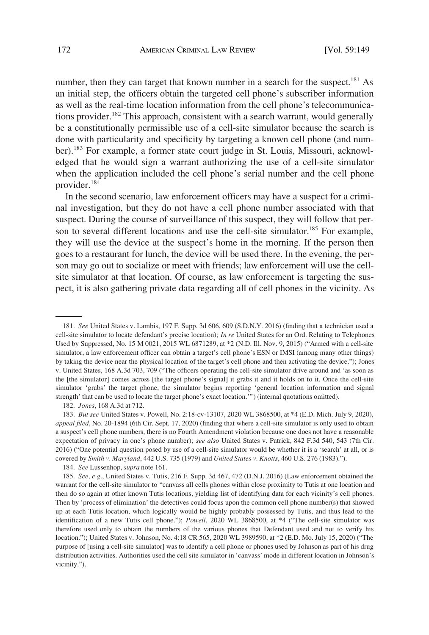number, then they can target that known number in a search for the suspect.<sup>181</sup> As an initial step, the officers obtain the targeted cell phone's subscriber information as well as the real-time location information from the cell phone's telecommunications provider.<sup>182</sup> This approach, consistent with a search warrant, would generally be a constitutionally permissible use of a cell-site simulator because the search is done with particularity and specificity by targeting a known cell phone (and number).<sup>183</sup> For example, a former state court judge in St. Louis, Missouri, acknowledged that he would sign a warrant authorizing the use of a cell-site simulator when the application included the cell phone's serial number and the cell phone provider.184

In the second scenario, law enforcement officers may have a suspect for a criminal investigation, but they do not have a cell phone number associated with that suspect. During the course of surveillance of this suspect, they will follow that person to several different locations and use the cell-site simulator.<sup>185</sup> For example, they will use the device at the suspect's home in the morning. If the person then goes to a restaurant for lunch, the device will be used there. In the evening, the person may go out to socialize or meet with friends; law enforcement will use the cellsite simulator at that location. Of course, as law enforcement is targeting the suspect, it is also gathering private data regarding all of cell phones in the vicinity. As

184. *See* Lussenhop, *supra* note 161.

<sup>181.</sup> *See* United States v. Lambis, 197 F. Supp. 3d 606, 609 (S.D.N.Y. 2016) (finding that a technician used a cell-site simulator to locate defendant's precise location); *In re* United States for an Ord. Relating to Telephones Used by Suppressed, No. 15 M 0021, 2015 WL 6871289, at \*2 (N.D. Ill. Nov. 9, 2015) ("Armed with a cell-site simulator, a law enforcement officer can obtain a target's cell phone's ESN or IMSI (among many other things) by taking the device near the physical location of the target's cell phone and then activating the device."); Jones v. United States, 168 A.3d 703, 709 ("The officers operating the cell-site simulator drive around and 'as soon as the [the simulator] comes across [the target phone's signal] it grabs it and it holds on to it. Once the cell-site simulator 'grabs' the target phone, the simulator begins reporting 'general location information and signal strength' that can be used to locate the target phone's exact location.'") (internal quotations omitted).

<sup>182.</sup> *Jones*, 168 A.3d at 712.

<sup>183.</sup> *But see* United States v. Powell, No. 2:18-cv-13107, 2020 WL 3868500, at \*4 (E.D. Mich. July 9, 2020), *appeal filed*, No. 20-1894 (6th Cir. Sept. 17, 2020) (finding that where a cell-site simulator is only used to obtain a suspect's cell phone numbers, there is no Fourth Amendment violation because one does not have a reasonable expectation of privacy in one's phone number); *see also* United States v. Patrick, 842 F.3d 540, 543 (7th Cir. 2016) ("One potential question posed by use of a cell-site simulator would be whether it is a 'search' at all, or is covered by *Smith v. Maryland*, 442 U.S. 735 (1979) and *United States v. Knotts*, 460 U.S. 276 (1983).").

<sup>185.</sup> *See, e.g.*, United States v. Tutis, 216 F. Supp. 3d 467, 472 (D.N.J. 2016) (Law enforcement obtained the warrant for the cell-site simulator to "canvass all cells phones within close proximity to Tutis at one location and then do so again at other known Tutis locations, yielding list of identifying data for each vicinity's cell phones. Then by 'process of elimination' the detectives could focus upon the common cell phone number(s) that showed up at each Tutis location, which logically would be highly probably possessed by Tutis, and thus lead to the identification of a new Tutis cell phone."); *Powell*, 2020 WL 3868500, at \*4 ("The cell-site simulator was therefore used only to obtain the numbers of the various phones that Defendant used and not to verify his location."); United States v. Johnson, No. 4:18 CR 565, 2020 WL 3989590, at \*2 (E.D. Mo. July 15, 2020) ("The purpose of [using a cell-site simulator] was to identify a cell phone or phones used by Johnson as part of his drug distribution activities. Authorities used the cell site simulator in 'canvass' mode in different location in Johnson's vicinity.").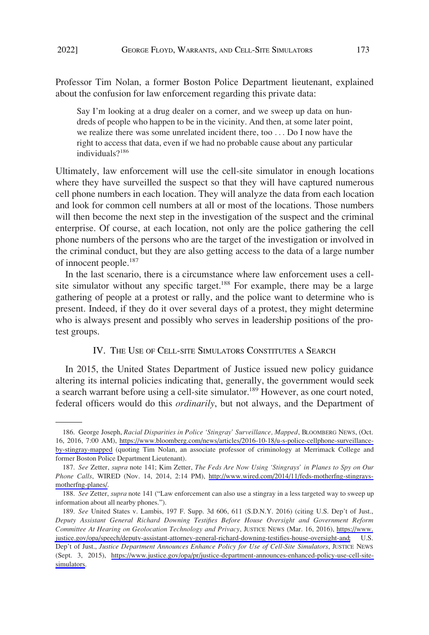<span id="page-24-0"></span>Professor Tim Nolan, a former Boston Police Department lieutenant, explained about the confusion for law enforcement regarding this private data:

Say I'm looking at a drug dealer on a corner, and we sweep up data on hundreds of people who happen to be in the vicinity. And then, at some later point, we realize there was some unrelated incident there, too . . . Do I now have the right to access that data, even if we had no probable cause about any particular individuals?<sup>186</sup>

Ultimately, law enforcement will use the cell-site simulator in enough locations where they have surveilled the suspect so that they will have captured numerous cell phone numbers in each location. They will analyze the data from each location and look for common cell numbers at all or most of the locations. Those numbers will then become the next step in the investigation of the suspect and the criminal enterprise. Of course, at each location, not only are the police gathering the cell phone numbers of the persons who are the target of the investigation or involved in the criminal conduct, but they are also getting access to the data of a large number of innocent people.187

In the last scenario, there is a circumstance where law enforcement uses a cellsite simulator without any specific target.<sup>188</sup> For example, there may be a large gathering of people at a protest or rally, and the police want to determine who is present. Indeed, if they do it over several days of a protest, they might determine who is always present and possibly who serves in leadership positions of the protest groups.

### IV. THE USE OF CELL-SITE SIMULATORS CONSTITUTES A SEARCH

In 2015, the United States Department of Justice issued new policy guidance altering its internal policies indicating that, generally, the government would seek a search warrant before using a cell-site simulator.<sup>189</sup> However, as one court noted, federal officers would do this *ordinarily*, but not always, and the Department of

<sup>186.</sup> George Joseph, *Racial Disparities in Police 'Stingray' Surveillance, Mapped*, BLOOMBERG NEWS, (Oct. 16, 2016, 7:00 AM), [https://www.bloomberg.com/news/articles/2016-10-18/u-s-police-cellphone-surveillance](https://www.bloomberg.com/news/articles/2016-10-18/u-s-police-cellphone-surveillance-by-stingray-mapped)[by-stingray-mapped](https://www.bloomberg.com/news/articles/2016-10-18/u-s-police-cellphone-surveillance-by-stingray-mapped) (quoting Tim Nolan, an associate professor of criminology at Merrimack College and former Boston Police Department Lieutenant).

*See* Zetter, *supra* note 141; Kim Zetter, *The Feds Are Now Using 'Stingrays' in Planes to Spy on Our*  187. *Phone Calls*, WIRED (Nov. 14, 2014, 2:14 PM), [http://www.wired.com/2014/11/feds-motherfng-stingrays](http://www.wired.com/2014/11/feds-motherfng-stingrays-motherfng-planes/)[motherfng-planes/.](http://www.wired.com/2014/11/feds-motherfng-stingrays-motherfng-planes/)

<sup>188.</sup> *See* Zetter, *supra* note 141 ("Law enforcement can also use a stingray in a less targeted way to sweep up information about all nearby phones.").

*See* United States v. Lambis, 197 F. Supp. 3d 606, 611 (S.D.N.Y. 2016) (citing U.S. Dep't of Just., 189. *Deputy Assistant General Richard Downing Testifies Before House Oversight and Government Reform Committee At Hearing on Geolocation Technology and Privacy*, JUSTICE NEWS (Mar. 16, 2016), [https://www.](https://www.justice.gov/opa/speech/deputy-assistant-attorney-general-richard-downing-testifies-house-oversight-and) [justice.gov/opa/speech/deputy-assistant-attorney-general-richard-downing-testifies-house-oversight-and;](https://www.justice.gov/opa/speech/deputy-assistant-attorney-general-richard-downing-testifies-house-oversight-and) U.S. Dep't of Just., *Justice Department Announces Enhance Policy for Use of Cell-Site Simulators*, JUSTICE NEWS (Sept. 3, 2015), [https://www.justice.gov/opa/pr/justice-department-announces-enhanced-policy-use-cell-site](https://www.justice.gov/opa/pr/justice-department-announces-enhanced-policy-use-cell-site-simulators)[simulators](https://www.justice.gov/opa/pr/justice-department-announces-enhanced-policy-use-cell-site-simulators).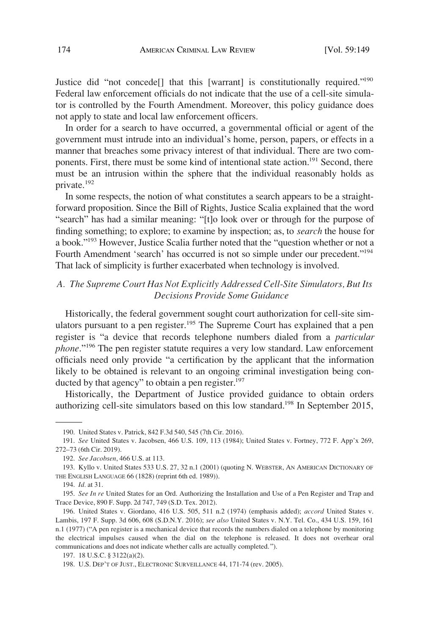<span id="page-25-0"></span>Justice did "not concede<sup>[]</sup> that this [warrant] is constitutionally required."<sup>190</sup> Federal law enforcement officials do not indicate that the use of a cell-site simulator is controlled by the Fourth Amendment. Moreover, this policy guidance does not apply to state and local law enforcement officers.

In order for a search to have occurred, a governmental official or agent of the government must intrude into an individual's home, person, papers, or effects in a manner that breaches some privacy interest of that individual. There are two components. First, there must be some kind of intentional state action.<sup>191</sup> Second, there must be an intrusion within the sphere that the individual reasonably holds as private.192

In some respects, the notion of what constitutes a search appears to be a straightforward proposition. Since the Bill of Rights, Justice Scalia explained that the word "search" has had a similar meaning: "[t]o look over or through for the purpose of finding something; to explore; to examine by inspection; as, to *search* the house for a book."<sup>193</sup> However, Justice Scalia further noted that the "question whether or not a Fourth Amendment 'search' has occurred is not so simple under our precedent."<sup>194</sup> That lack of simplicity is further exacerbated when technology is involved.

# *A. The Supreme Court Has Not Explicitly Addressed Cell-Site Simulators, But Its Decisions Provide Some Guidance*

Historically, the federal government sought court authorization for cell-site simulators pursuant to a pen register.<sup>195</sup> The Supreme Court has explained that a pen register is "a device that records telephone numbers dialed from a *particular phone*."196 The pen register statute requires a very low standard. Law enforcement officials need only provide "a certification by the applicant that the information likely to be obtained is relevant to an ongoing criminal investigation being conducted by that agency" to obtain a pen register. $197$ 

Historically, the Department of Justice provided guidance to obtain orders authorizing cell-site simulators based on this low standard.<sup>198</sup> In September 2015,

<sup>190.</sup> United States v. Patrick, 842 F.3d 540, 545 (7th Cir. 2016).

<sup>191.</sup> *See* United States v. Jacobsen, 466 U.S. 109, 113 (1984); United States v. Fortney, 772 F. App'x 269, 272–73 (6th Cir. 2019).

<sup>192.</sup> *See Jacobsen*, 466 U.S. at 113.

<sup>193.</sup> Kyllo v. United States 533 U.S. 27, 32 n.1 (2001) (quoting N. WEBSTER, AN AMERICAN DICTIONARY OF THE ENGLISH LANGUAGE 66 (1828) (reprint 6th ed. 1989)).

<sup>194.</sup> *Id.* at 31.

<sup>195.</sup> *See In re* United States for an Ord. Authorizing the Installation and Use of a Pen Register and Trap and Trace Device, 890 F. Supp. 2d 747, 749 (S.D. Tex. 2012).

<sup>196.</sup> United States v. Giordano, 416 U.S. 505, 511 n.2 (1974) (emphasis added); *accord* United States v. Lambis, 197 F. Supp. 3d 606, 608 (S.D.N.Y. 2016); *see also* United States v. N.Y. Tel. Co., 434 U.S. 159, 161 n.1 (1977) ("A pen register is a mechanical device that records the numbers dialed on a telephone by monitoring the electrical impulses caused when the dial on the telephone is released. It does not overhear oral communications and does not indicate whether calls are actually completed.").

<sup>197. 18</sup> U.S.C. § 3122(a)(2).

<sup>198.</sup> U.S. DEP'T OF JUST., ELECTRONIC SURVEILLANCE 44, 171-74 (rev. 2005).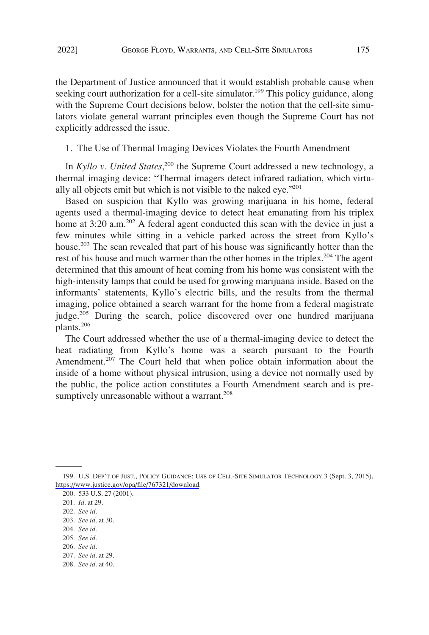<span id="page-26-0"></span>the Department of Justice announced that it would establish probable cause when seeking court authorization for a cell-site simulator.<sup>199</sup> This policy guidance, along with the Supreme Court decisions below, bolster the notion that the cell-site simulators violate general warrant principles even though the Supreme Court has not explicitly addressed the issue.

1. The Use of Thermal Imaging Devices Violates the Fourth Amendment

In *Kyllo v. United States*,<sup>200</sup> the Supreme Court addressed a new technology, a thermal imaging device: "Thermal imagers detect infrared radiation, which virtually all objects emit but which is not visible to the naked eye."<sup>201</sup>

Based on suspicion that Kyllo was growing marijuana in his home, federal agents used a thermal-imaging device to detect heat emanating from his triplex home at  $3:20$  a.m.<sup>202</sup> A federal agent conducted this scan with the device in just a few minutes while sitting in a vehicle parked across the street from Kyllo's house.203 The scan revealed that part of his house was significantly hotter than the rest of his house and much warmer than the other homes in the triplex.<sup>204</sup> The agent determined that this amount of heat coming from his home was consistent with the high-intensity lamps that could be used for growing marijuana inside. Based on the informants' statements, Kyllo's electric bills, and the results from the thermal imaging, police obtained a search warrant for the home from a federal magistrate judge.<sup>205</sup> During the search, police discovered over one hundred marijuana plants.206

The Court addressed whether the use of a thermal-imaging device to detect the heat radiating from Kyllo's home was a search pursuant to the Fourth Amendment.<sup>207</sup> The Court held that when police obtain information about the inside of a home without physical intrusion, using a device not normally used by the public, the police action constitutes a Fourth Amendment search and is presumptively unreasonable without a warrant.<sup>208</sup>

- 204. *See id.*
- 205. *See id.*
- 206. *See id.*
- 207. *See id.* at 29.

<sup>199.</sup> U.S. DEP'T OF JUST., POLICY GUIDANCE: USE OF CELL-SITE SIMULATOR TECHNOLOGY 3 (Sept. 3, 2015), [https://www.justice.gov/opa/file/767321/download.](https://www.justice.gov/opa/file/767321/download)

<sup>200. 533</sup> U.S. 27 (2001).

<sup>201.</sup> *Id.* at 29.

<sup>202.</sup> *See id.* 

<sup>203.</sup> *See id.* at 30.

<sup>208.</sup> *See id.* at 40.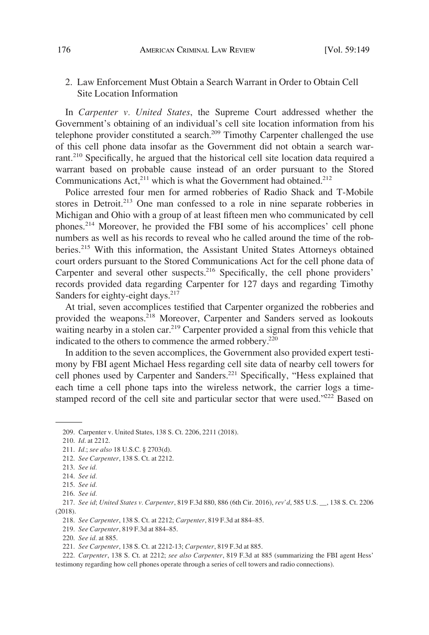## <span id="page-27-0"></span>2. Law Enforcement Must Obtain a Search Warrant in Order to Obtain Cell Site Location Information

In *Carpenter v. United States*, the Supreme Court addressed whether the Government's obtaining of an individual's cell site location information from his telephone provider constituted a search.<sup>209</sup> Timothy Carpenter challenged the use of this cell phone data insofar as the Government did not obtain a search warrant.<sup>210</sup> Specifically, he argued that the historical cell site location data required a warrant based on probable cause instead of an order pursuant to the Stored Communications Act, $2^{11}$  which is what the Government had obtained.<sup>212</sup>

Police arrested four men for armed robberies of Radio Shack and T-Mobile stores in Detroit.<sup>213</sup> One man confessed to a role in nine separate robberies in Michigan and Ohio with a group of at least fifteen men who communicated by cell phones.214 Moreover, he provided the FBI some of his accomplices' cell phone numbers as well as his records to reveal who he called around the time of the robberies.215 With this information, the Assistant United States Attorneys obtained court orders pursuant to the Stored Communications Act for the cell phone data of Carpenter and several other suspects.<sup>216</sup> Specifically, the cell phone providers' records provided data regarding Carpenter for 127 days and regarding Timothy Sanders for eighty-eight days.<sup>217</sup>

At trial, seven accomplices testified that Carpenter organized the robberies and provided the weapons.<sup>218</sup> Moreover, Carpenter and Sanders served as lookouts waiting nearby in a stolen car.<sup>219</sup> Carpenter provided a signal from this vehicle that indicated to the others to commence the armed robbery.<sup>220</sup>

In addition to the seven accomplices, the Government also provided expert testimony by FBI agent Michael Hess regarding cell site data of nearby cell towers for cell phones used by Carpenter and Sanders.<sup>221</sup> Specifically, "Hess explained that each time a cell phone taps into the wireless network, the carrier logs a timestamped record of the cell site and particular sector that were used."<sup>222</sup> Based on

- 211. *Id.*; *see also* 18 U.S.C. § 2703(d).
- 212. *See Carpenter*, 138 S. Ct. at 2212.
- 213. *See id.*

219. *See Carpenter*, 819 F.3d at 884–85.

<sup>209.</sup> Carpenter v. United States, 138 S. Ct. 2206, 2211 (2018).

<sup>210.</sup> *Id*. at 2212.

<sup>214.</sup> *See id.* 

<sup>215.</sup> *See id.* 

<sup>216.</sup> *See id.* 

<sup>217.</sup> *See id*; *United States v. Carpenter*, 819 F.3d 880, 886 (6th Cir. 2016), *rev'd*, 585 U.S. \_\_, 138 S. Ct. 2206 (2018).

<sup>218.</sup> *See Carpenter*, 138 S. Ct. at 2212; *Carpenter*, 819 F.3d at 884–85.

<sup>220.</sup> *See id.* at 885.

<sup>221.</sup> *See Carpenter*, 138 S. Ct. at 2212-13; *Carpenter*, 819 F.3d at 885.

<sup>222.</sup> *Carpenter*, 138 S. Ct. at 2212; *see also Carpenter*, 819 F.3d at 885 (summarizing the FBI agent Hess' testimony regarding how cell phones operate through a series of cell towers and radio connections).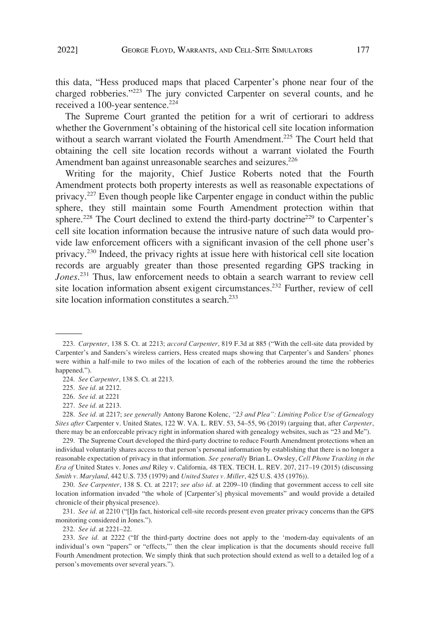this data, "Hess produced maps that placed Carpenter's phone near four of the charged robberies."223 The jury convicted Carpenter on several counts, and he received a 100-year sentence. $224$ 

The Supreme Court granted the petition for a writ of certiorari to address whether the Government's obtaining of the historical cell site location information without a search warrant violated the Fourth Amendment.<sup>225</sup> The Court held that obtaining the cell site location records without a warrant violated the Fourth Amendment ban against unreasonable searches and seizures.<sup>226</sup>

Writing for the majority, Chief Justice Roberts noted that the Fourth Amendment protects both property interests as well as reasonable expectations of privacy.<sup>227</sup> Even though people like Carpenter engage in conduct within the public sphere, they still maintain some Fourth Amendment protection within that sphere.<sup>228</sup> The Court declined to extend the third-party doctrine<sup>229</sup> to Carpenter's cell site location information because the intrusive nature of such data would provide law enforcement officers with a significant invasion of the cell phone user's privacy.230 Indeed, the privacy rights at issue here with historical cell site location records are arguably greater than those presented regarding GPS tracking in *Jones*. 231 Thus, law enforcement needs to obtain a search warrant to review cell site location information absent exigent circumstances.232 Further, review of cell site location information constitutes a search.<sup>233</sup>

228. *See id.* at 2217; *see generally* Antony Barone Kolenc, *"23 and Plea": Limiting Police Use of Genealogy Sites after* Carpenter v. United States, 122 W. VA. L. REV. 53, 54–55, 96 (2019) (arguing that, after *Carpenter*, there may be an enforceable privacy right in information shared with genealogy websites, such as "23 and Me").

229. The Supreme Court developed the third-party doctrine to reduce Fourth Amendment protections when an individual voluntarily shares access to that person's personal information by establishing that there is no longer a reasonable expectation of privacy in that information. *See generally* Brian L. Owsley, *Cell Phone Tracking in the Era of* United States v. Jones *and* Riley v. California, 48 TEX. TECH. L. REV. 207, 217–19 (2015) (discussing *Smith v. Maryland*, 442 U.S. 735 (1979) and *United States v. Miller*, 425 U.S. 435 (1976)).

230. *See Carpenter*, 138 S. Ct. at 2217; *see also id.* at 2209–10 (finding that government access to cell site location information invaded "the whole of [Carpenter's] physical movements" and would provide a detailed chronicle of their physical presence).

231. *See id.* at 2210 ("[I]n fact, historical cell-site records present even greater privacy concerns than the GPS monitoring considered in Jones.").

232. *See id.* at 2221–22.

233. *See id.* at 2222 ("If the third-party doctrine does not apply to the 'modern-day equivalents of an individual's own "papers" or "effects,"' then the clear implication is that the documents should receive full Fourth Amendment protection. We simply think that such protection should extend as well to a detailed log of a person's movements over several years.").

<sup>223.</sup> *Carpenter*, 138 S. Ct. at 2213; *accord Carpenter*, 819 F.3d at 885 ("With the cell-site data provided by Carpenter's and Sanders's wireless carriers, Hess created maps showing that Carpenter's and Sanders' phones were within a half-mile to two miles of the location of each of the robberies around the time the robberies happened.").

<sup>224.</sup> *See Carpenter*, 138 S. Ct. at 2213.

<sup>225.</sup> *See id.* at 2212.

<sup>226.</sup> *See id.* at 2221

<sup>227.</sup> *See id.* at 2213.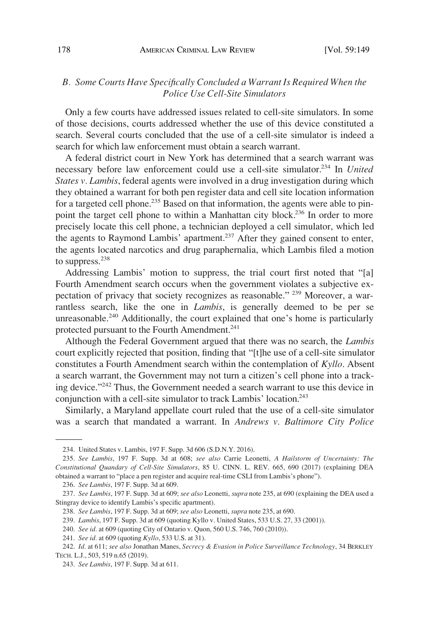# <span id="page-29-0"></span>*B. Some Courts Have Specifically Concluded a Warrant Is Required When the Police Use Cell-Site Simulators*

Only a few courts have addressed issues related to cell-site simulators. In some of those decisions, courts addressed whether the use of this device constituted a search. Several courts concluded that the use of a cell-site simulator is indeed a search for which law enforcement must obtain a search warrant.

A federal district court in New York has determined that a search warrant was necessary before law enforcement could use a cell-site simulator.234 In *United States v. Lambis*, federal agents were involved in a drug investigation during which they obtained a warrant for both pen register data and cell site location information for a targeted cell phone.<sup>235</sup> Based on that information, the agents were able to pinpoint the target cell phone to within a Manhattan city block.<sup>236</sup> In order to more precisely locate this cell phone, a technician deployed a cell simulator, which led the agents to Raymond Lambis' apartment.<sup>237</sup> After they gained consent to enter, the agents located narcotics and drug paraphernalia, which Lambis filed a motion to suppress.<sup>238</sup>

Addressing Lambis' motion to suppress, the trial court first noted that "[a] Fourth Amendment search occurs when the government violates a subjective expectation of privacy that society recognizes as reasonable." 239 Moreover, a warrantless search, like the one in *Lambis*, is generally deemed to be per se unreasonable.<sup>240</sup> Additionally, the court explained that one's home is particularly protected pursuant to the Fourth Amendment.<sup>241</sup>

Although the Federal Government argued that there was no search, the *Lambis*  court explicitly rejected that position, finding that "[t]he use of a cell-site simulator constitutes a Fourth Amendment search within the contemplation of *Kyllo*. Absent a search warrant, the Government may not turn a citizen's cell phone into a tracking device."242 Thus, the Government needed a search warrant to use this device in conjunction with a cell-site simulator to track Lambis' location.<sup>243</sup>

Similarly, a Maryland appellate court ruled that the use of a cell-site simulator was a search that mandated a warrant. In *Andrews v. Baltimore City Police* 

<sup>234.</sup> United States v. Lambis, 197 F. Supp. 3d 606 (S.D.N.Y. 2016).

<sup>235.</sup> *See Lambis*, 197 F. Supp. 3d at 608; *see also* Carrie Leonetti, *A Hailstorm of Uncertainty: The Constitutional Quandary of Cell-Site Simulators*, 85 U. CINN. L. REV. 665, 690 (2017) (explaining DEA obtained a warrant to "place a pen register and acquire real-time CSLI from Lambis's phone").

<sup>236.</sup> *See Lambis*, 197 F. Supp. 3d at 609.

<sup>237.</sup> *See Lambis*, 197 F. Supp. 3d at 609; *see also* Leonetti, *supra* note 235, at 690 (explaining the DEA used a Stingray device to identify Lambis's specific apartment).

<sup>238.</sup> *See Lambis*, 197 F. Supp. 3d at 609; *see also* Leonetti, *supra* note 235, at 690.

<sup>239.</sup> *Lambis*, 197 F. Supp. 3d at 609 (quoting Kyllo v. United States, 533 U.S. 27, 33 (2001)).

<sup>240.</sup> *See id.* at 609 (quoting City of Ontario v. Quon, 560 U.S. 746, 760 (2010)).

<sup>241.</sup> *See id.* at 609 (quoting *Kyllo*, 533 U.S. at 31).

<sup>242.</sup> *Id.* at 611; *see also* Jonathan Manes, *Secrecy & Evasion in Police Surveillance Technology*, 34 BERKLEY TECH. L.J., 503, 519 n.65 (2019).

<sup>243.</sup> *See Lambis*, 197 F. Supp. 3d at 611.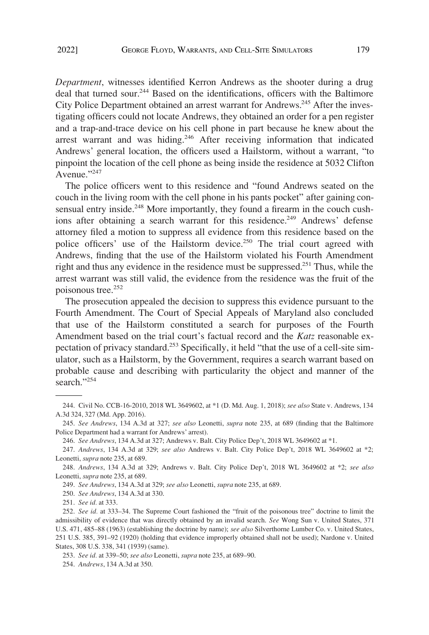*Department*, witnesses identified Kerron Andrews as the shooter during a drug deal that turned sour.<sup>244</sup> Based on the identifications, officers with the Baltimore City Police Department obtained an arrest warrant for Andrews.<sup>245</sup> After the investigating officers could not locate Andrews, they obtained an order for a pen register and a trap-and-trace device on his cell phone in part because he knew about the arrest warrant and was hiding.<sup>246</sup> After receiving information that indicated Andrews' general location, the officers used a Hailstorm, without a warrant, "to pinpoint the location of the cell phone as being inside the residence at 5032 Clifton Avenue."<sup>247</sup>

The police officers went to this residence and "found Andrews seated on the couch in the living room with the cell phone in his pants pocket" after gaining consensual entry inside.<sup>248</sup> More importantly, they found a firearm in the couch cushions after obtaining a search warrant for this residence.<sup>249</sup> Andrews' defense attorney filed a motion to suppress all evidence from this residence based on the police officers' use of the Hailstorm device.<sup>250</sup> The trial court agreed with Andrews, finding that the use of the Hailstorm violated his Fourth Amendment right and thus any evidence in the residence must be suppressed.251 Thus, while the arrest warrant was still valid, the evidence from the residence was the fruit of the poisonous tree.<sup>252</sup>

The prosecution appealed the decision to suppress this evidence pursuant to the Fourth Amendment. The Court of Special Appeals of Maryland also concluded that use of the Hailstorm constituted a search for purposes of the Fourth Amendment based on the trial court's factual record and the *Katz* reasonable expectation of privacy standard.<sup>253</sup> Specifically, it held "that the use of a cell-site simulator, such as a Hailstorm, by the Government, requires a search warrant based on probable cause and describing with particularity the object and manner of the search."254

250. *See Andrews*, 134 A.3d at 330.

251. *See id.* at 333.

<sup>244.</sup> Civil No. CCB-16-2010, 2018 WL 3649602, at \*1 (D. Md. Aug. 1, 2018); *see also* State v. Andrews, 134 A.3d 324, 327 (Md. App. 2016).

<sup>245.</sup> *See Andrews*, 134 A.3d at 327; *see also* Leonetti, *supra* note 235, at 689 (finding that the Baltimore Police Department had a warrant for Andrews' arrest).

<sup>246.</sup> *See Andrews*, 134 A.3d at 327; Andrews v. Balt. City Police Dep't, 2018 WL 3649602 at \*1.

<sup>247.</sup> *Andrews*, 134 A.3d at 329; *see also* Andrews v. Balt. City Police Dep't, 2018 WL 3649602 at \*2; Leonetti, *supra* note 235, at 689.

<sup>248.</sup> *Andrews*, 134 A.3d at 329; Andrews v. Balt. City Police Dep't, 2018 WL 3649602 at \*2; *see also*  Leonetti, *supra* note 235, at 689.

<sup>249.</sup> *See Andrews*, 134 A.3d at 329; *see also* Leonetti, *supra* note 235, at 689.

<sup>252.</sup> *See id.* at 333–34. The Supreme Court fashioned the "fruit of the poisonous tree" doctrine to limit the admissibility of evidence that was directly obtained by an invalid search. *See* Wong Sun v. United States, 371 U.S. 471, 485–88 (1963) (establishing the doctrine by name); *see also* Silverthorne Lumber Co. v. United States, 251 U.S. 385, 391–92 (1920) (holding that evidence improperly obtained shall not be used); Nardone v. United States, 308 U.S. 338, 341 (1939) (same).

<sup>253.</sup> *See id.* at 339–50; *see also* Leonetti, *supra* note 235, at 689–90.

<sup>254.</sup> *Andrews*, 134 A.3d at 350.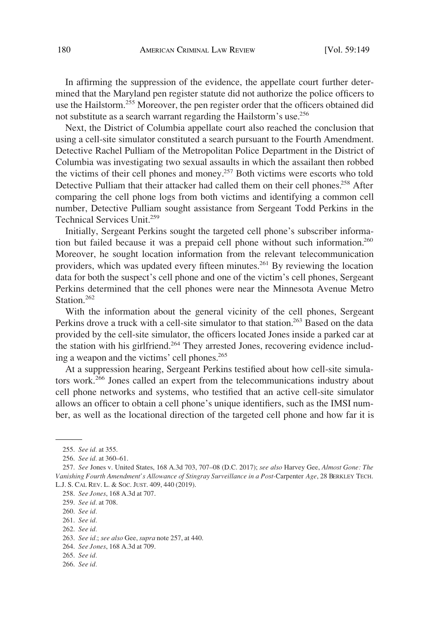In affirming the suppression of the evidence, the appellate court further determined that the Maryland pen register statute did not authorize the police officers to use the Hailstorm.<sup>255</sup> Moreover, the pen register order that the officers obtained did not substitute as a search warrant regarding the Hailstorm's use.256

Next, the District of Columbia appellate court also reached the conclusion that using a cell-site simulator constituted a search pursuant to the Fourth Amendment. Detective Rachel Pulliam of the Metropolitan Police Department in the District of Columbia was investigating two sexual assaults in which the assailant then robbed the victims of their cell phones and money.257 Both victims were escorts who told Detective Pulliam that their attacker had called them on their cell phones.<sup>258</sup> After comparing the cell phone logs from both victims and identifying a common cell number, Detective Pulliam sought assistance from Sergeant Todd Perkins in the Technical Services Unit.259

Initially, Sergeant Perkins sought the targeted cell phone's subscriber information but failed because it was a prepaid cell phone without such information.<sup>260</sup> Moreover, he sought location information from the relevant telecommunication providers, which was updated every fifteen minutes.<sup>261</sup> By reviewing the location data for both the suspect's cell phone and one of the victim's cell phones, Sergeant Perkins determined that the cell phones were near the Minnesota Avenue Metro Station.<sup>262</sup>

With the information about the general vicinity of the cell phones, Sergeant Perkins drove a truck with a cell-site simulator to that station.<sup>263</sup> Based on the data provided by the cell-site simulator, the officers located Jones inside a parked car at the station with his girlfriend.<sup>264</sup> They arrested Jones, recovering evidence including a weapon and the victims' cell phones.<sup>265</sup>

At a suppression hearing, Sergeant Perkins testified about how cell-site simulators work.266 Jones called an expert from the telecommunications industry about cell phone networks and systems, who testified that an active cell-site simulator allows an officer to obtain a cell phone's unique identifiers, such as the IMSI number, as well as the locational direction of the targeted cell phone and how far it is

<sup>255.</sup> *See id.* at 355.

<sup>256.</sup> *See id.* at 360–61.

<sup>257.</sup> *See* Jones v. United States, 168 A.3d 703, 707–08 (D.C. 2017); *see also* Harvey Gee, *Almost Gone: The Vanishing Fourth Amendment's Allowance of Stingray Surveillance in a Post-*Carpenter *Age*, 28 BERKLEY TECH. L.J. S. CAL REV. L. & SOC. JUST. 409, 440 (2019).

<sup>258.</sup> *See Jones*, 168 A.3d at 707.

<sup>259.</sup> *See id.* at 708.

<sup>260.</sup> *See id.* 

<sup>261.</sup> *See id.* 

<sup>262.</sup> *See id.* 

<sup>263.</sup> *See id.*; *see also* Gee, *supra* note 257, at 440.

<sup>264.</sup> *See Jones*, 168 A.3d at 709.

<sup>265.</sup> *See id.* 

<sup>266.</sup> *See id.*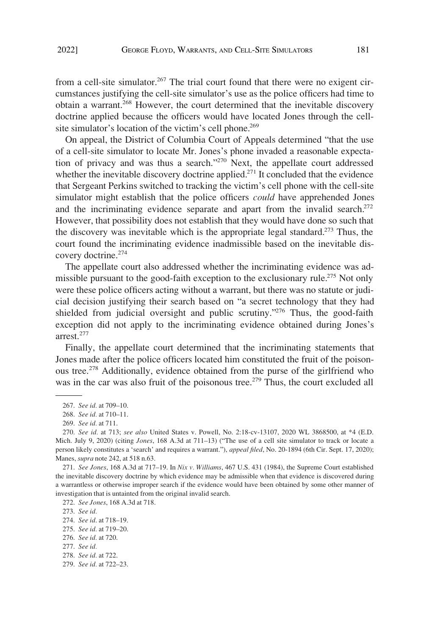from a cell-site simulator.<sup>267</sup> The trial court found that there were no exigent circumstances justifying the cell-site simulator's use as the police officers had time to obtain a warrant.<sup>268</sup> However, the court determined that the inevitable discovery doctrine applied because the officers would have located Jones through the cellsite simulator's location of the victim's cell phone.<sup>269</sup>

On appeal, the District of Columbia Court of Appeals determined "that the use of a cell-site simulator to locate Mr. Jones's phone invaded a reasonable expectation of privacy and was thus a search."270 Next, the appellate court addressed whether the inevitable discovery doctrine applied.<sup>271</sup> It concluded that the evidence that Sergeant Perkins switched to tracking the victim's cell phone with the cell-site simulator might establish that the police officers *could* have apprehended Jones and the incriminating evidence separate and apart from the invalid search.<sup>272</sup> However, that possibility does not establish that they would have done so such that the discovery was inevitable which is the appropriate legal standard.<sup>273</sup> Thus, the court found the incriminating evidence inadmissible based on the inevitable discovery doctrine.<sup>274</sup>

The appellate court also addressed whether the incriminating evidence was admissible pursuant to the good-faith exception to the exclusionary rule.<sup>275</sup> Not only were these police officers acting without a warrant, but there was no statute or judicial decision justifying their search based on "a secret technology that they had shielded from judicial oversight and public scrutiny."<sup>276</sup> Thus, the good-faith exception did not apply to the incriminating evidence obtained during Jones's arrest.277

Finally, the appellate court determined that the incriminating statements that Jones made after the police officers located him constituted the fruit of the poisonous tree.<sup>278</sup> Additionally, evidence obtained from the purse of the girlfriend who was in the car was also fruit of the poisonous tree.<sup>279</sup> Thus, the court excluded all

<sup>267.</sup> *See id.* at 709–10.

<sup>268.</sup> *See id.* at 710–11.

<sup>269.</sup> *See id.* at 711.

<sup>270.</sup> *See id.* at 713; *see also* United States v. Powell, No. 2:18-cv-13107, 2020 WL 3868500, at \*4 (E.D. Mich. July 9, 2020) (citing *Jones*, 168 A.3d at 711–13) ("The use of a cell site simulator to track or locate a person likely constitutes a 'search' and requires a warrant."), *appeal filed*, No. 20-1894 (6th Cir. Sept. 17, 2020); Manes, *supra* note 242, at 518 n.63.

<sup>271.</sup> *See Jones*, 168 A.3d at 717–19. In *Nix v. Williams*, 467 U.S. 431 (1984), the Supreme Court established the inevitable discovery doctrine by which evidence may be admissible when that evidence is discovered during a warrantless or otherwise improper search if the evidence would have been obtained by some other manner of investigation that is untainted from the original invalid search.

<sup>272.</sup> *See Jones*, 168 A.3d at 718.

<sup>273.</sup> *See id.* 

<sup>274.</sup> *See id*. at 718–19.

<sup>275.</sup> *See id.* at 719–20.

<sup>276.</sup> *See id.* at 720.

<sup>277.</sup> *See id.* 

<sup>278.</sup> *See id.* at 722.

<sup>279.</sup> *See id.* at 722–23.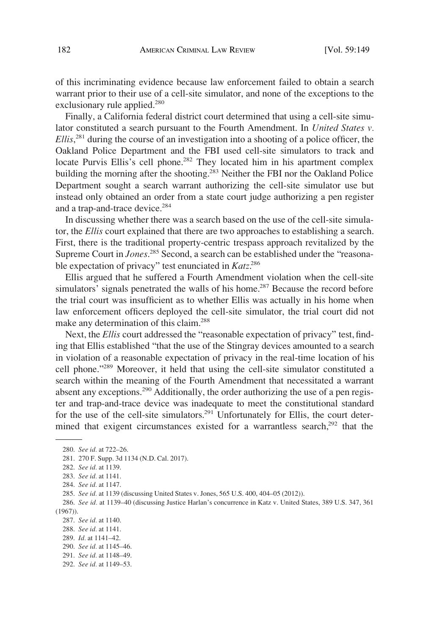of this incriminating evidence because law enforcement failed to obtain a search warrant prior to their use of a cell-site simulator, and none of the exceptions to the exclusionary rule applied.<sup>280</sup>

Finally, a California federal district court determined that using a cell-site simulator constituted a search pursuant to the Fourth Amendment. In *United States v. Ellis*, 281 during the course of an investigation into a shooting of a police officer, the Oakland Police Department and the FBI used cell-site simulators to track and locate Purvis Ellis's cell phone.<sup>282</sup> They located him in his apartment complex building the morning after the shooting.<sup>283</sup> Neither the FBI nor the Oakland Police Department sought a search warrant authorizing the cell-site simulator use but instead only obtained an order from a state court judge authorizing a pen register and a trap-and-trace device.<sup>284</sup>

In discussing whether there was a search based on the use of the cell-site simulator, the *Ellis* court explained that there are two approaches to establishing a search. First, there is the traditional property-centric trespass approach revitalized by the Supreme Court in *Jones*.<sup>285</sup> Second, a search can be established under the "reasonable expectation of privacy" test enunciated in *Katz*. 286

Ellis argued that he suffered a Fourth Amendment violation when the cell-site simulators' signals penetrated the walls of his home.<sup>287</sup> Because the record before the trial court was insufficient as to whether Ellis was actually in his home when law enforcement officers deployed the cell-site simulator, the trial court did not make any determination of this claim.<sup>288</sup>

Next, the *Ellis* court addressed the "reasonable expectation of privacy" test, finding that Ellis established "that the use of the Stingray devices amounted to a search in violation of a reasonable expectation of privacy in the real-time location of his cell phone."289 Moreover, it held that using the cell-site simulator constituted a search within the meaning of the Fourth Amendment that necessitated a warrant absent any exceptions.<sup>290</sup> Additionally, the order authorizing the use of a pen register and trap-and-trace device was inadequate to meet the constitutional standard for the use of the cell-site simulators.<sup>291</sup> Unfortunately for Ellis, the court determined that exigent circumstances existed for a warrantless search,<sup>292</sup> that the

288. *See id.* at 1141.

<sup>280.</sup> *See id.* at 722–26.

<sup>281. 270</sup> F. Supp. 3d 1134 (N.D. Cal. 2017).

<sup>282.</sup> *See id.* at 1139.

<sup>283.</sup> *See id.* at 1141.

<sup>284.</sup> *See id.* at 1147.

<sup>285.</sup> *See id.* at 1139 (discussing United States v. Jones, 565 U.S. 400, 404–05 (2012)).

<sup>286.</sup> *See id.* at 1139–40 (discussing Justice Harlan's concurrence in Katz v. United States, 389 U.S. 347, 361 (1967)).

<sup>287.</sup> *See id.* at 1140.

<sup>289.</sup> *Id.* at 1141–42.

<sup>290.</sup> *See id.* at 1145–46.

<sup>291.</sup> *See id.* at 1148–49.

<sup>292.</sup> *See id.* at 1149–53.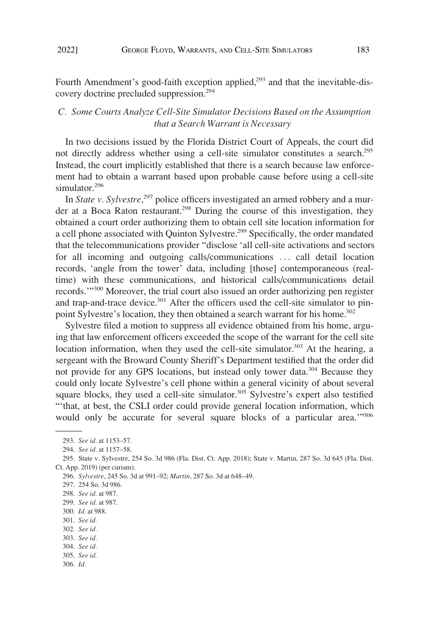<span id="page-34-0"></span>Fourth Amendment's good-faith exception applied,<sup>293</sup> and that the inevitable-discovery doctrine precluded suppression.294

# *C. Some Courts Analyze Cell-Site Simulator Decisions Based on the Assumption that a Search Warrant is Necessary*

In two decisions issued by the Florida District Court of Appeals, the court did not directly address whether using a cell-site simulator constitutes a search.<sup>295</sup> Instead, the court implicitly established that there is a search because law enforcement had to obtain a warrant based upon probable cause before using a cell-site simulator.<sup>296</sup>

In *State v. Sylvestre*, 297 police officers investigated an armed robbery and a murder at a Boca Raton restaurant.<sup>298</sup> During the course of this investigation, they obtained a court order authorizing them to obtain cell site location information for a cell phone associated with Quinton Sylvestre.<sup>299</sup> Specifically, the order mandated that the telecommunications provider "disclose 'all cell-site activations and sectors for all incoming and outgoing calls/communications ... call detail location records, 'angle from the tower' data, including [those] contemporaneous (realtime) with these communications, and historical calls/communications detail records.'"300 Moreover, the trial court also issued an order authorizing pen register and trap-and-trace device.<sup>301</sup> After the officers used the cell-site simulator to pinpoint Sylvestre's location, they then obtained a search warrant for his home.<sup>302</sup>

Sylvestre filed a motion to suppress all evidence obtained from his home, arguing that law enforcement officers exceeded the scope of the warrant for the cell site location information, when they used the cell-site simulator.<sup>303</sup> At the hearing, a sergeant with the Broward County Sheriff's Department testified that the order did not provide for any GPS locations, but instead only tower data.304 Because they could only locate Sylvestre's cell phone within a general vicinity of about several square blocks, they used a cell-site simulator.<sup>305</sup> Sylvestre's expert also testified "'that, at best, the CSLI order could provide general location information, which would only be accurate for several square blocks of a particular area."<sup>306</sup>

- 300. *Id.* at 988.
- 301. *See id.*
- 302. *See id.*
- 303. *See id.*
- 304. *See id.*
- 305. *See id.*
- 306. *Id.*

<sup>293.</sup> *See id.* at 1153–57.

<sup>294.</sup> *See id.* at 1157–58.

<sup>295.</sup> State v. Sylvestre, 254 So. 3d 986 (Fla. Dist. Ct. App. 2018); State v. Martin, 287 So. 3d 645 (Fla. Dist. Ct. App. 2019) (per curiam).

<sup>296.</sup> *Sylvestre*, 245 So. 3d at 991–92; *Martin*, 287 So. 3d at 648–49.

<sup>297. 254</sup> So. 3d 986.

<sup>298.</sup> *See id.* at 987.

<sup>299.</sup> *See id.* at 987.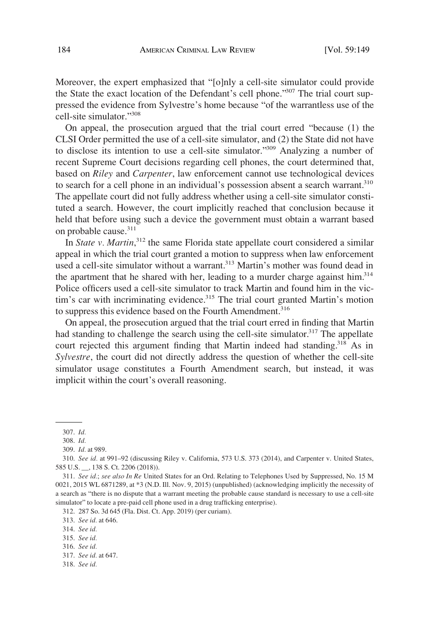Moreover, the expert emphasized that "[o]nly a cell-site simulator could provide the State the exact location of the Defendant's cell phone."<sup>307</sup> The trial court suppressed the evidence from Sylvestre's home because "of the warrantless use of the cell-site simulator."<sup>308</sup>

On appeal, the prosecution argued that the trial court erred "because (1) the CLSI Order permitted the use of a cell-site simulator, and (2) the State did not have to disclose its intention to use a cell-site simulator."309 Analyzing a number of recent Supreme Court decisions regarding cell phones, the court determined that, based on *Riley* and *Carpenter*, law enforcement cannot use technological devices to search for a cell phone in an individual's possession absent a search warrant.<sup>310</sup> The appellate court did not fully address whether using a cell-site simulator constituted a search. However, the court implicitly reached that conclusion because it held that before using such a device the government must obtain a warrant based on probable cause.<sup>311</sup>

In *State v. Martin*<sup>312</sup>, the same Florida state appellate court considered a similar appeal in which the trial court granted a motion to suppress when law enforcement used a cell-site simulator without a warrant.<sup>313</sup> Martin's mother was found dead in the apartment that he shared with her, leading to a murder charge against  $\lim^{314}$ Police officers used a cell-site simulator to track Martin and found him in the victim's car with incriminating evidence.<sup>315</sup> The trial court granted Martin's motion to suppress this evidence based on the Fourth Amendment.<sup>316</sup>

On appeal, the prosecution argued that the trial court erred in finding that Martin had standing to challenge the search using the cell-site simulator.<sup>317</sup> The appellate court rejected this argument finding that Martin indeed had standing.<sup>318</sup> As in *Sylvestre*, the court did not directly address the question of whether the cell-site simulator usage constitutes a Fourth Amendment search, but instead, it was implicit within the court's overall reasoning.

312. 287 So. 3d 645 (Fla. Dist. Ct. App. 2019) (per curiam).

313. *See id.* at 646.

314. *See id.* 

315. *See id.* 

316. *See id.* 

318. *See id.* 

<sup>307.</sup> *Id.* 

<sup>308.</sup> *Id.* 

<sup>309.</sup> *Id.* at 989.

<sup>310.</sup> *See id.* at 991–92 (discussing Riley v. California, 573 U.S. 373 (2014), and Carpenter v. United States, 585 U.S. \_\_, 138 S. Ct. 2206 (2018)).

<sup>311.</sup> *See id.*; *see also In Re* United States for an Ord. Relating to Telephones Used by Suppressed, No. 15 M 0021, 2015 WL 6871289, at \*3 (N.D. Ill. Nov. 9, 2015) (unpublished) (acknowledging implicitly the necessity of a search as "there is no dispute that a warrant meeting the probable cause standard is necessary to use a cell-site simulator" to locate a pre-paid cell phone used in a drug trafficking enterprise).

<sup>317.</sup> *See id.* at 647.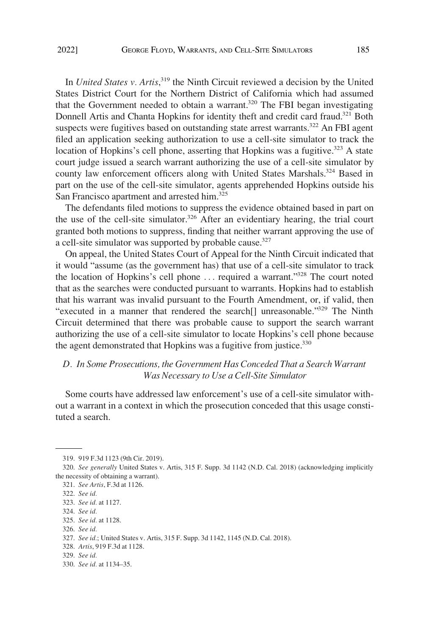<span id="page-36-0"></span>In *United States v. Artis*, 319 the Ninth Circuit reviewed a decision by the United States District Court for the Northern District of California which had assumed that the Government needed to obtain a warrant.<sup>320</sup> The FBI began investigating Donnell Artis and Chanta Hopkins for identity theft and credit card fraud.<sup>321</sup> Both suspects were fugitives based on outstanding state arrest warrants.<sup>322</sup> An FBI agent filed an application seeking authorization to use a cell-site simulator to track the location of Hopkins's cell phone, asserting that Hopkins was a fugitive.<sup>323</sup> A state court judge issued a search warrant authorizing the use of a cell-site simulator by county law enforcement officers along with United States Marshals.<sup>324</sup> Based in part on the use of the cell-site simulator, agents apprehended Hopkins outside his San Francisco apartment and arrested him.<sup>325</sup>

The defendants filed motions to suppress the evidence obtained based in part on the use of the cell-site simulator.<sup>326</sup> After an evidentiary hearing, the trial court granted both motions to suppress, finding that neither warrant approving the use of a cell-site simulator was supported by probable cause.<sup>327</sup>

On appeal, the United States Court of Appeal for the Ninth Circuit indicated that it would "assume (as the government has) that use of a cell-site simulator to track the location of Hopkins's cell phone . . . required a warrant."328 The court noted that as the searches were conducted pursuant to warrants. Hopkins had to establish that his warrant was invalid pursuant to the Fourth Amendment, or, if valid, then "executed in a manner that rendered the search<sup>[]</sup> unreasonable."<sup>329</sup> The Ninth Circuit determined that there was probable cause to support the search warrant authorizing the use of a cell-site simulator to locate Hopkins's cell phone because the agent demonstrated that Hopkins was a fugitive from justice.<sup>330</sup>

# *D. In Some Prosecutions, the Government Has Conceded That a Search Warrant Was Necessary to Use a Cell-Site Simulator*

Some courts have addressed law enforcement's use of a cell-site simulator without a warrant in a context in which the prosecution conceded that this usage constituted a search.

324. *See id.* 

<sup>319. 919</sup> F.3d 1123 (9th Cir. 2019).

<sup>320.</sup> *See generally* United States v. Artis, 315 F. Supp. 3d 1142 (N.D. Cal. 2018) (acknowledging implicitly the necessity of obtaining a warrant).

<sup>321.</sup> *See Artis*, F.3d at 1126.

<sup>322.</sup> *See id.* 

<sup>323.</sup> *See id.* at 1127.

<sup>325.</sup> *See id.* at 1128.

<sup>326.</sup> *See id.* 

<sup>327.</sup> *See id.*; United States v. Artis, 315 F. Supp. 3d 1142, 1145 (N.D. Cal. 2018).

<sup>328.</sup> *Artis*, 919 F.3d at 1128.

<sup>329.</sup> *See id.* 

<sup>330.</sup> *See id.* at 1134–35.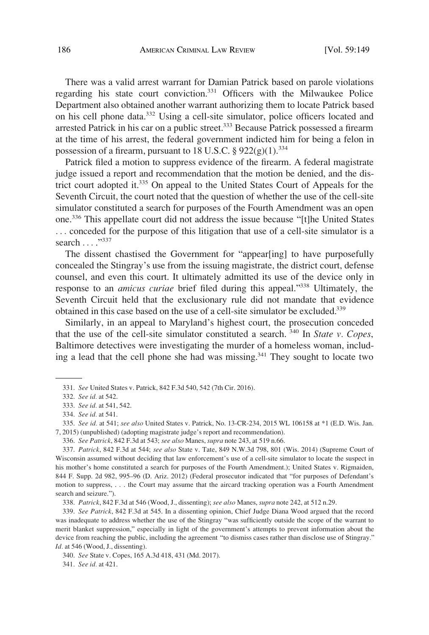There was a valid arrest warrant for Damian Patrick based on parole violations regarding his state court conviction.331 Officers with the Milwaukee Police Department also obtained another warrant authorizing them to locate Patrick based on his cell phone data.332 Using a cell-site simulator, police officers located and arrested Patrick in his car on a public street.<sup>333</sup> Because Patrick possessed a firearm at the time of his arrest, the federal government indicted him for being a felon in possession of a firearm, pursuant to 18 U.S.C.  $\S 922(g)(1).^{334}$ 

Patrick filed a motion to suppress evidence of the firearm. A federal magistrate judge issued a report and recommendation that the motion be denied, and the district court adopted it.335 On appeal to the United States Court of Appeals for the Seventh Circuit, the court noted that the question of whether the use of the cell-site simulator constituted a search for purposes of the Fourth Amendment was an open one.336 This appellate court did not address the issue because "[t]he United States . . . conceded for the purpose of this litigation that use of a cell-site simulator is a search . . . . . . . 337

The dissent chastised the Government for "appear[ing] to have purposefully concealed the Stingray's use from the issuing magistrate, the district court, defense counsel, and even this court. It ultimately admitted its use of the device only in response to an *amicus curiae* brief filed during this appeal."338 Ultimately, the Seventh Circuit held that the exclusionary rule did not mandate that evidence obtained in this case based on the use of a cell-site simulator be excluded.<sup>339</sup>

Similarly, in an appeal to Maryland's highest court, the prosecution conceded that the use of the cell-site simulator constituted a search. 340 In *State v. Copes*, Baltimore detectives were investigating the murder of a homeless woman, including a lead that the cell phone she had was missing.<sup>341</sup> They sought to locate two

336. *See Patrick*, 842 F.3d at 543; *see also* Manes, *supra* note 243, at 519 n.66.

341. *See id.* at 421.

<sup>331.</sup> *See* United States v. Patrick, 842 F.3d 540, 542 (7th Cir. 2016).

<sup>332.</sup> *See id.* at 542.

<sup>333.</sup> *See id.* at 541, 542.

<sup>334.</sup> *See id.* at 541.

<sup>335.</sup> *See id.* at 541; *see also* United States v. Patrick, No. 13-CR-234, 2015 WL 106158 at \*1 (E.D. Wis. Jan. 7, 2015) (unpublished) (adopting magistrate judge's report and recommendation).

<sup>337.</sup> *Patrick*, 842 F.3d at 544; *see also* State v. Tate, 849 N.W.3d 798, 801 (Wis. 2014) (Supreme Court of Wisconsin assumed without deciding that law enforcement's use of a cell-site simulator to locate the suspect in his mother's home constituted a search for purposes of the Fourth Amendment.); United States v. Rigmaiden, 844 F. Supp. 2d 982, 995–96 (D. Ariz. 2012) (Federal prosecutor indicated that "for purposes of Defendant's motion to suppress, . . . the Court may assume that the aircard tracking operation was a Fourth Amendment search and seizure.").

<sup>338.</sup> *Patrick*, 842 F.3d at 546 (Wood, J., dissenting); *see also* Manes, *supra* note 242, at 512 n.29.

<sup>339.</sup> *See Patrick*, 842 F.3d at 545. In a dissenting opinion, Chief Judge Diana Wood argued that the record was inadequate to address whether the use of the Stingray "was sufficiently outside the scope of the warrant to merit blanket suppression," especially in light of the government's attempts to prevent information about the device from reaching the public, including the agreement "to dismiss cases rather than disclose use of Stingray." *Id.* at 546 (Wood, J., dissenting).

<sup>340.</sup> *See* State v. Copes, 165 A.3d 418, 431 (Md. 2017).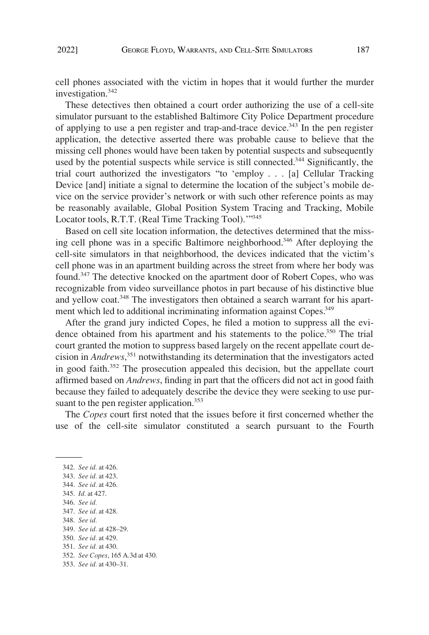cell phones associated with the victim in hopes that it would further the murder investigation.<sup>342</sup>

These detectives then obtained a court order authorizing the use of a cell-site simulator pursuant to the established Baltimore City Police Department procedure of applying to use a pen register and trap-and-trace device.<sup>343</sup> In the pen register application, the detective asserted there was probable cause to believe that the missing cell phones would have been taken by potential suspects and subsequently used by the potential suspects while service is still connected.<sup>344</sup> Significantly, the trial court authorized the investigators "to 'employ . . . [a] Cellular Tracking Device [and] initiate a signal to determine the location of the subject's mobile device on the service provider's network or with such other reference points as may be reasonably available, Global Position System Tracing and Tracking, Mobile Locator tools, R.T.T. (Real Time Tracking Tool).'"<sup>345</sup>

Based on cell site location information, the detectives determined that the missing cell phone was in a specific Baltimore neighborhood.<sup>346</sup> After deploying the cell-site simulators in that neighborhood, the devices indicated that the victim's cell phone was in an apartment building across the street from where her body was found.<sup>347</sup> The detective knocked on the apartment door of Robert Copes, who was recognizable from video surveillance photos in part because of his distinctive blue and yellow coat.<sup>348</sup> The investigators then obtained a search warrant for his apartment which led to additional incriminating information against Copes.<sup>349</sup>

After the grand jury indicted Copes, he filed a motion to suppress all the evidence obtained from his apartment and his statements to the police.<sup>350</sup> The trial court granted the motion to suppress based largely on the recent appellate court decision in *Andrews*, 351 notwithstanding its determination that the investigators acted in good faith.352 The prosecution appealed this decision, but the appellate court affirmed based on *Andrews*, finding in part that the officers did not act in good faith because they failed to adequately describe the device they were seeking to use pursuant to the pen register application.<sup>353</sup>

The *Copes* court first noted that the issues before it first concerned whether the use of the cell-site simulator constituted a search pursuant to the Fourth

348. *See id.* 

350. *See id.* at 429.

<sup>342.</sup> *See id.* at 426.

<sup>343.</sup> *See id.* at 423.

<sup>344.</sup> *See id.* at 426.

<sup>345.</sup> *Id.* at 427.

<sup>346.</sup> *See id.* 

<sup>347.</sup> *See id.* at 428.

<sup>349.</sup> *See id.* at 428–29.

<sup>351.</sup> *See id.* at 430.

<sup>352.</sup> *See Copes*, 165 A.3d at 430.

<sup>353.</sup> *See id.* at 430–31.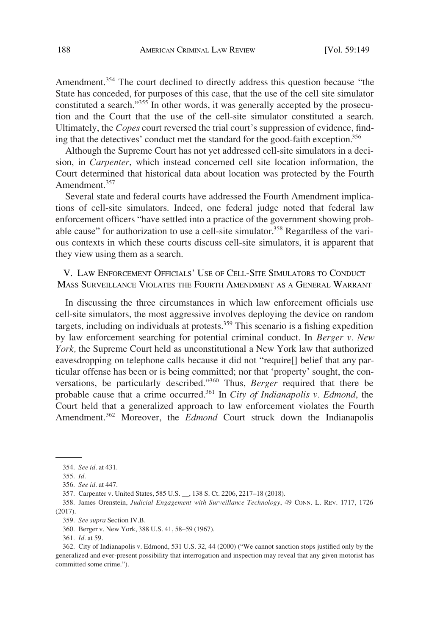<span id="page-39-0"></span>Amendment.<sup>354</sup> The court declined to directly address this question because "the State has conceded, for purposes of this case, that the use of the cell site simulator constituted a search."355 In other words, it was generally accepted by the prosecution and the Court that the use of the cell-site simulator constituted a search. Ultimately, the *Copes* court reversed the trial court's suppression of evidence, finding that the detectives' conduct met the standard for the good-faith exception.<sup>356</sup>

Although the Supreme Court has not yet addressed cell-site simulators in a decision, in *Carpenter*, which instead concerned cell site location information, the Court determined that historical data about location was protected by the Fourth Amendment.<sup>357</sup>

Several state and federal courts have addressed the Fourth Amendment implications of cell-site simulators. Indeed, one federal judge noted that federal law enforcement officers "have settled into a practice of the government showing probable cause" for authorization to use a cell-site simulator.<sup>358</sup> Regardless of the various contexts in which these courts discuss cell-site simulators, it is apparent that they view using them as a search.

V. LAW ENFORCEMENT OFFICIALS' USE OF CELL-SITE SIMULATORS TO CONDUCT MASS SURVEILLANCE VIOLATES THE FOURTH AMENDMENT AS A GENERAL WARRANT

In discussing the three circumstances in which law enforcement officials use cell-site simulators, the most aggressive involves deploying the device on random targets, including on individuals at protests.359 This scenario is a fishing expedition by law enforcement searching for potential criminal conduct. In *Berger v. New York,* the Supreme Court held as unconstitutional a New York law that authorized eavesdropping on telephone calls because it did not "require[] belief that any particular offense has been or is being committed; nor that 'property' sought, the conversations, be particularly described."360 Thus, *Berger* required that there be probable cause that a crime occurred.<sup>361</sup> In *City of Indianapolis v. Edmond*, the Court held that a generalized approach to law enforcement violates the Fourth Amendment.<sup>362</sup> Moreover, the *Edmond* Court struck down the Indianapolis

<sup>354.</sup> *See id.* at 431.

<sup>355.</sup> *Id.* 

<sup>356.</sup> *See id.* at 447.

<sup>357.</sup> Carpenter v. United States, 585 U.S. \_\_, 138 S. Ct. 2206, 2217–18 (2018).

<sup>358.</sup> James Orenstein, *Judicial Engagement with Surveillance Technology*, 49 CONN. L. REV. 1717, 1726 (2017).

<sup>359.</sup> *See supra* Section IV.B.

<sup>360.</sup> Berger v. New York, 388 U.S. 41, 58–59 (1967).

<sup>361.</sup> *Id.* at 59.

<sup>362.</sup> City of Indianapolis v. Edmond, 531 U.S. 32, 44 (2000) ("We cannot sanction stops justified only by the generalized and ever-present possibility that interrogation and inspection may reveal that any given motorist has committed some crime.").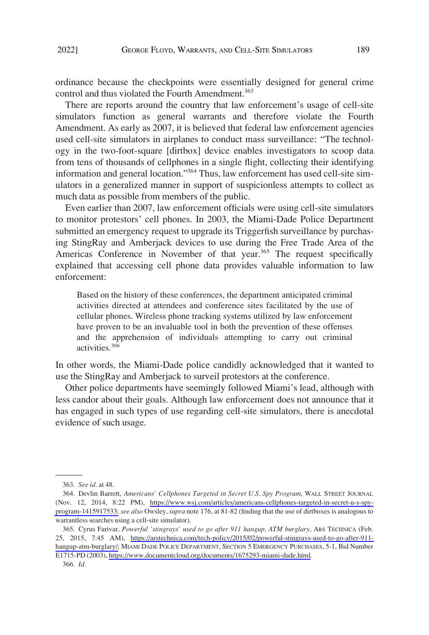ordinance because the checkpoints were essentially designed for general crime control and thus violated the Fourth Amendment.<sup>363</sup>

There are reports around the country that law enforcement's usage of cell-site simulators function as general warrants and therefore violate the Fourth Amendment. As early as 2007, it is believed that federal law enforcement agencies used cell-site simulators in airplanes to conduct mass surveillance: "The technology in the two-foot-square [dirtbox] device enables investigators to scoop data from tens of thousands of cellphones in a single flight, collecting their identifying information and general location."<sup>364</sup> Thus, law enforcement has used cell-site simulators in a generalized manner in support of suspicionless attempts to collect as much data as possible from members of the public.

Even earlier than 2007, law enforcement officials were using cell-site simulators to monitor protestors' cell phones. In 2003, the Miami-Dade Police Department submitted an emergency request to upgrade its Triggerfish surveillance by purchasing StingRay and Amberjack devices to use during the Free Trade Area of the Americas Conference in November of that year.<sup>365</sup> The request specifically explained that accessing cell phone data provides valuable information to law enforcement:

Based on the history of these conferences, the department anticipated criminal activities directed at attendees and conference sites facilitated by the use of cellular phones. Wireless phone tracking systems utilized by law enforcement have proven to be an invaluable tool in both the prevention of these offenses and the apprehension of individuals attempting to carry out criminal activities.<sup>366</sup>

In other words, the Miami-Dade police candidly acknowledged that it wanted to use the StingRay and Amberjack to surveil protestors at the conference.

Other police departments have seemingly followed Miami's lead, although with less candor about their goals. Although law enforcement does not announce that it has engaged in such types of use regarding cell-site simulators, there is anecdotal evidence of such usage.

<sup>363.</sup> *See id.* at 48.

<sup>364.</sup> Devlin Barrett, Americans' Cellphones Targeted in Secret U.S. Spy Program, WALL STREET JOURNAL (Nov. 12, 2014, 8:22 PM), [https://www.wsj.com/articles/americans-cellphones-targeted-in-secret-u-s-spy](https://www.wsj.com/articles/americans-cellphones-targeted-in-secret-u-s-spy-program-1415917533)[program-1415917533;](https://www.wsj.com/articles/americans-cellphones-targeted-in-secret-u-s-spy-program-1415917533) *see also* Owsley, *supra* note 176, at 81-82 (finding that the use of dirtboxes is analogous to warrantless searches using a cell-site simulator).

<sup>365.</sup> Cyrus Farivar, *Powerful 'stingrays' used to go after 911 hangup, ATM burglary*, ARS TECHNICA (Feb. 25, 2015, 7:45 AM), [https://arstechnica.com/tech-policy/2015/02/powerful-stingrays-used-to-go-after-911](https://arstechnica.com/tech-policy/2015/02/powerful-stingrays-used-to-go-after-911-hangup-atm-burglary/)  [hangup-atm-burglary/;](https://arstechnica.com/tech-policy/2015/02/powerful-stingrays-used-to-go-after-911-hangup-atm-burglary/) MIAMI DADE POLICE DEPARTMENT, SECTION 5 EMERGENCY PURCHASES, 5-1, Bid Number E1715-PD (2003), [https://www.documentcloud.org/documents/1675293-miami-dade.html.](https://www.documentcloud.org/documents/1675293-miami-dade.html)

<sup>366.</sup> *Id.*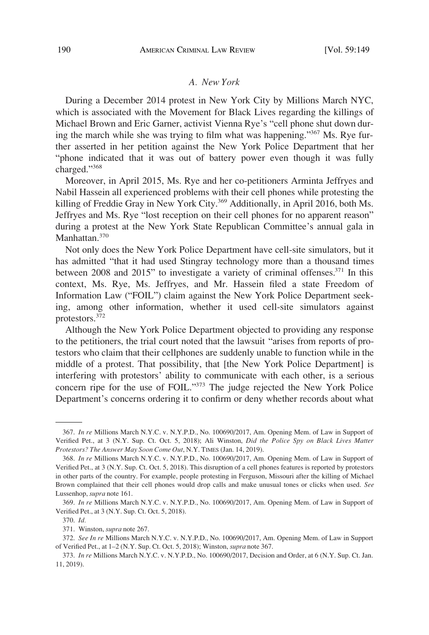#### *A. New York*

<span id="page-41-0"></span>During a December 2014 protest in New York City by Millions March NYC, which is associated with the Movement for Black Lives regarding the killings of Michael Brown and Eric Garner, activist Vienna Rye's "cell phone shut down during the march while she was trying to film what was happening."<sup>367</sup> Ms. Rye further asserted in her petition against the New York Police Department that her "phone indicated that it was out of battery power even though it was fully charged."<sup>368</sup>

Moreover, in April 2015, Ms. Rye and her co-petitioners Arminta Jeffryes and Nabil Hassein all experienced problems with their cell phones while protesting the killing of Freddie Gray in New York City.<sup>369</sup> Additionally, in April 2016, both Ms. Jeffryes and Ms. Rye "lost reception on their cell phones for no apparent reason" during a protest at the New York State Republican Committee's annual gala in Manhattan.<sup>370</sup>

Not only does the New York Police Department have cell-site simulators, but it has admitted "that it had used Stingray technology more than a thousand times between 2008 and 2015" to investigate a variety of criminal offenses.<sup>371</sup> In this context, Ms. Rye, Ms. Jeffryes, and Mr. Hassein filed a state Freedom of Information Law ("FOIL") claim against the New York Police Department seeking, among other information, whether it used cell-site simulators against protestors.372

Although the New York Police Department objected to providing any response to the petitioners, the trial court noted that the lawsuit "arises from reports of protestors who claim that their cellphones are suddenly unable to function while in the middle of a protest. That possibility, that [the New York Police Department] is interfering with protestors' ability to communicate with each other, is a serious concern ripe for the use of FOIL."373 The judge rejected the New York Police Department's concerns ordering it to confirm or deny whether records about what

<sup>367.</sup> *In re* Millions March N.Y.C. v. N.Y.P.D., No. 100690/2017, Am. Opening Mem. of Law in Support of Verified Pet., at 3 (N.Y. Sup. Ct. Oct. 5, 2018); Ali Winston, *Did the Police Spy on Black Lives Matter Protestors? The Answer May Soon Come Out*, N.Y. TIMES (Jan. 14, 2019).

<sup>368.</sup> *In re* Millions March N.Y.C. v. N.Y.P.D., No. 100690/2017, Am. Opening Mem. of Law in Support of Verified Pet., at 3 (N.Y. Sup. Ct. Oct. 5, 2018). This disruption of a cell phones features is reported by protestors in other parts of the country. For example, people protesting in Ferguson, Missouri after the killing of Michael Brown complained that their cell phones would drop calls and make unusual tones or clicks when used. *See*  Lussenhop, *supra* note 161.

<sup>369.</sup> *In re* Millions March N.Y.C. v. N.Y.P.D., No. 100690/2017, Am. Opening Mem. of Law in Support of Verified Pet., at 3 (N.Y. Sup. Ct. Oct. 5, 2018).

<sup>370.</sup> *Id.* 

<sup>371.</sup> Winston, *supra* note 267.

<sup>372.</sup> *See In re* Millions March N.Y.C. v. N.Y.P.D., No. 100690/2017, Am. Opening Mem. of Law in Support of Verified Pet., at 1–2 (N.Y. Sup. Ct. Oct. 5, 2018); Winston, *supra* note 367.

<sup>373.</sup> *In re* Millions March N.Y.C. v. N.Y.P.D., No. 100690/2017, Decision and Order, at 6 (N.Y. Sup. Ct. Jan. 11, 2019).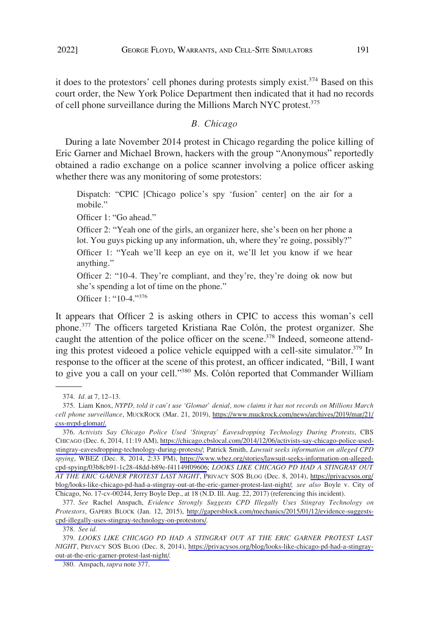<span id="page-42-0"></span>it does to the protestors' cell phones during protests simply exist.<sup>374</sup> Based on this court order, the New York Police Department then indicated that it had no records of cell phone surveillance during the Millions March NYC protest.<sup>375</sup>

### *B. Chicago*

During a late November 2014 protest in Chicago regarding the police killing of Eric Garner and Michael Brown, hackers with the group "Anonymous" reportedly obtained a radio exchange on a police scanner involving a police officer asking whether there was any monitoring of some protestors:

Dispatch: "CPIC [Chicago police's spy 'fusion' center] on the air for a mobile."

Officer 1: "Go ahead."

Officer 2: "Yeah one of the girls, an organizer here, she's been on her phone a lot. You guys picking up any information, uh, where they're going, possibly?" Officer 1: "Yeah we'll keep an eye on it, we'll let you know if we hear anything."

Officer 2: "10-4. They're compliant, and they're, they're doing ok now but she's spending a lot of time on the phone."

Officer 1: "10-4."<sup>376</sup>

It appears that Officer 2 is asking others in CPIC to access this woman's cell phone.377 The officers targeted Kristiana Rae Colón, the protest organizer. She caught the attention of the police officer on the scene.<sup>378</sup> Indeed, someone attending this protest videoed a police vehicle equipped with a cell-site simulator.<sup>379</sup> In response to the officer at the scene of this protest, an officer indicated, "Bill, I want to give you a call on your cell."380 Ms. Colón reported that Commander William

377. *See* Rachel Anspach, *Evidence Strongly Suggests CPD Illegally Uses Stingray Technology on Protestors*, GAPERS BLOCK (Jan. 12, 2015), [http://gapersblock.com/mechanics/2015/01/12/evidence-suggests](http://gapersblock.com/mechanics/2015/01/12/evidence-suggests-cpd-illegally-uses-stingray-technology-on-protestors/)[cpd-illegally-uses-stingray-technology-on-protestors/.](http://gapersblock.com/mechanics/2015/01/12/evidence-suggests-cpd-illegally-uses-stingray-technology-on-protestors/)

378. *See id.* 

*LOOKS LIKE CHICAGO PD HAD A STINGRAY OUT AT THE ERIC GARNER PROTEST LAST*  379. *NIGHT*, PRIVACY SOS BLOG (Dec. 8, 2014), [https://privacysos.org/blog/looks-like-chicago-pd-had-a-stingray](https://privacysos.org/blog/looks-like-chicago-pd-had-a-stingray-out-at-the-eric-garner-protest-last-night/)[out-at-the-eric-garner-protest-last-night/.](https://privacysos.org/blog/looks-like-chicago-pd-had-a-stingray-out-at-the-eric-garner-protest-last-night/)

<sup>374.</sup> *Id.* at 7, 12–13.

<sup>375.</sup> Liam Knox, *NYPD, told it can't use 'Glomar' denial, now claims it has not records on Millions March cell phone surveillance*, MUCKROCK (Mar. 21, 2019), [https://www.muckrock.com/news/archives/2019/mar/21/](https://www.muckrock.com/news/archives/2019/mar/21/css-nypd-glomar/) [css-nypd-glomar/.](https://www.muckrock.com/news/archives/2019/mar/21/css-nypd-glomar/)

*Activists Say Chicago Police Used 'Stingray' Eavesdropping Technology During Protests*, CBS 376. CHICAGO (Dec. 6, 2014, 11:19 AM), [https://chicago.cbslocal.com/2014/12/06/activists-say-chicago-police-used](https://chicago.cbslocal.com/2014/12/06/activists-say-chicago-police-used-stingray-eavesdropping-technology-during-protests/)[stingray-eavesdropping-technology-during-protests/;](https://chicago.cbslocal.com/2014/12/06/activists-say-chicago-police-used-stingray-eavesdropping-technology-during-protests/) Patrick Smith, *Lawsuit seeks information on alleged CPD spying*, WBEZ (Dec. 8, 2014, 2:33 PM), [https://www.wbez.org/stories/lawsuit-seeks-information-on-alleged](https://www.wbez.org/stories/lawsuit-seeks-information-on-alleged-cpd-spying/03b8cb91-1c28-48dd-b89e-f41149f09606)[cpd-spying/03b8cb91-1c28-48dd-b89e-f41149f09606](https://www.wbez.org/stories/lawsuit-seeks-information-on-alleged-cpd-spying/03b8cb91-1c28-48dd-b89e-f41149f09606); *LOOKS LIKE CHICAGO PD HAD A STINGRAY OUT AT THE ERIC GARNER PROTEST LAST NIGHT*, PRIVACY SOS BLOG (Dec. 8, 2014), [https://privacysos.org/](https://privacysos.org/blog/looks-like-chicago-pd-had-a-stingray-out-at-the-eric-garner-protest-last-night/) [blog/looks-like-chicago-pd-had-a-stingray-out-at-the-eric-garner-protest-last-night/;](https://privacysos.org/blog/looks-like-chicago-pd-had-a-stingray-out-at-the-eric-garner-protest-last-night/) *see also* Boyle v. City of Chicago, No. 17-cv-00244, Jerry Boyle Dep., at 18 (N.D. Ill. Aug. 22, 2017) (referencing this incident).

<sup>380.</sup> Anspach, *supra* note 377.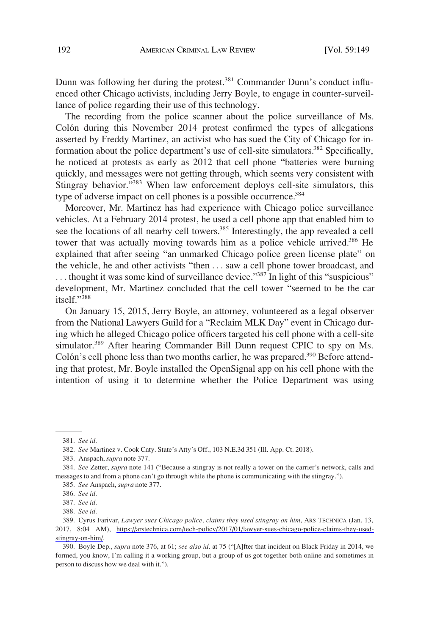Dunn was following her during the protest.<sup>381</sup> Commander Dunn's conduct influenced other Chicago activists, including Jerry Boyle, to engage in counter-surveillance of police regarding their use of this technology.

The recording from the police scanner about the police surveillance of Ms. Colón during this November 2014 protest confirmed the types of allegations asserted by Freddy Martinez, an activist who has sued the City of Chicago for information about the police department's use of cell-site simulators.<sup>382</sup> Specifically, he noticed at protests as early as 2012 that cell phone "batteries were burning quickly, and messages were not getting through, which seems very consistent with Stingray behavior."<sup>383</sup> When law enforcement deploys cell-site simulators, this type of adverse impact on cell phones is a possible occurrence.<sup>384</sup>

Moreover, Mr. Martinez has had experience with Chicago police surveillance vehicles. At a February 2014 protest, he used a cell phone app that enabled him to see the locations of all nearby cell towers.<sup>385</sup> Interestingly, the app revealed a cell tower that was actually moving towards him as a police vehicle arrived.<sup>386</sup> He explained that after seeing "an unmarked Chicago police green license plate" on the vehicle, he and other activists "then . . . saw a cell phone tower broadcast, and  $\dots$  thought it was some kind of surveillance device.<sup>3387</sup> In light of this "suspicious" development, Mr. Martinez concluded that the cell tower "seemed to be the car itself."<sup>388</sup>

On January 15, 2015, Jerry Boyle, an attorney, volunteered as a legal observer from the National Lawyers Guild for a "Reclaim MLK Day" event in Chicago during which he alleged Chicago police officers targeted his cell phone with a cell-site simulator.<sup>389</sup> After hearing Commander Bill Dunn request CPIC to spy on Ms. Colón's cell phone less than two months earlier, he was prepared.<sup>390</sup> Before attending that protest, Mr. Boyle installed the OpenSignal app on his cell phone with the intention of using it to determine whether the Police Department was using

<sup>381.</sup> *See id.* 

<sup>382.</sup> *See* Martinez v. Cook Cnty. State's Atty's Off., 103 N.E.3d 351 (Ill. App. Ct. 2018).

<sup>383.</sup> Anspach, *supra* note 377.

<sup>384.</sup> *See* Zetter, *supra* note 141 ("Because a stingray is not really a tower on the carrier's network, calls and messages to and from a phone can't go through while the phone is communicating with the stingray.").

<sup>385.</sup> *See* Anspach, *supra* note 377.

<sup>386.</sup> *See id.* 

<sup>387.</sup> *See id.* 

<sup>388.</sup> *See id.* 

<sup>389.</sup> Cyrus Farivar, *Lawyer sues Chicago police, claims they used stingray on him*, ARS TECHNICA (Jan. 13, 2017, 8:04 AM), [https://arstechnica.com/tech-policy/2017/01/lawyer-sues-chicago-police-claims-they-used](https://arstechnica.com/tech-policy/2017/01/lawyer-sues-chicago-police-claims-they-used-stingray-on-him/)[stingray-on-him/.](https://arstechnica.com/tech-policy/2017/01/lawyer-sues-chicago-police-claims-they-used-stingray-on-him/)

<sup>390.</sup> Boyle Dep., *supra* note 376, at 61; *see also id.* at 75 ("[A]fter that incident on Black Friday in 2014, we formed, you know, I'm calling it a working group, but a group of us got together both online and sometimes in person to discuss how we deal with it.").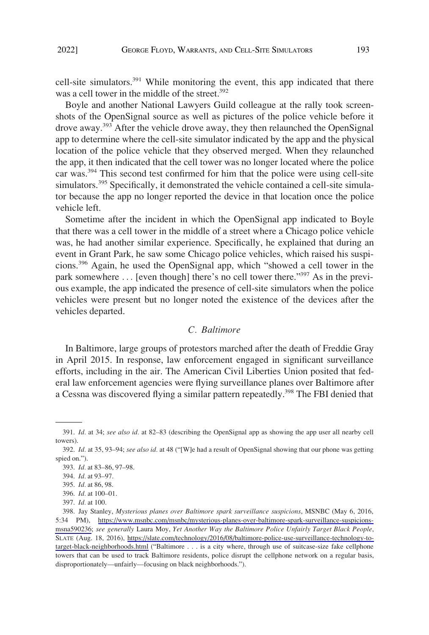<span id="page-44-0"></span>cell-site simulators.<sup>391</sup> While monitoring the event, this app indicated that there was a cell tower in the middle of the street.<sup>392</sup>

Boyle and another National Lawyers Guild colleague at the rally took screenshots of the OpenSignal source as well as pictures of the police vehicle before it drove away.<sup>393</sup> After the vehicle drove away, they then relaunched the OpenSignal app to determine where the cell-site simulator indicated by the app and the physical location of the police vehicle that they observed merged. When they relaunched the app, it then indicated that the cell tower was no longer located where the police car was.394 This second test confirmed for him that the police were using cell-site simulators.<sup>395</sup> Specifically, it demonstrated the vehicle contained a cell-site simulator because the app no longer reported the device in that location once the police vehicle left.

Sometime after the incident in which the OpenSignal app indicated to Boyle that there was a cell tower in the middle of a street where a Chicago police vehicle was, he had another similar experience. Specifically, he explained that during an event in Grant Park, he saw some Chicago police vehicles, which raised his suspicions.396 Again, he used the OpenSignal app, which "showed a cell tower in the park somewhere ... [even though] there's no cell tower there."<sup>397</sup> As in the previous example, the app indicated the presence of cell-site simulators when the police vehicles were present but no longer noted the existence of the devices after the vehicles departed.

#### *C. Baltimore*

In Baltimore, large groups of protestors marched after the death of Freddie Gray in April 2015. In response, law enforcement engaged in significant surveillance efforts, including in the air. The American Civil Liberties Union posited that federal law enforcement agencies were flying surveillance planes over Baltimore after a Cessna was discovered flying a similar pattern repeatedly.<sup>398</sup> The FBI denied that

<sup>391.</sup> *Id.* at 34; *see also id.* at 82–83 (describing the OpenSignal app as showing the app user all nearby cell towers).

<sup>392.</sup> *Id.* at 35, 93–94; *see also id.* at 48 ("[W]e had a result of OpenSignal showing that our phone was getting spied on.").

<sup>393.</sup> *Id.* at 83–86, 97–98.

<sup>394.</sup> *Id.* at 93–97.

<sup>395.</sup> *Id.* at 86, 98.

<sup>396.</sup> *Id.* at 100–01.

<sup>397.</sup> *Id.* at 100.

Jay Stanley, *Mysterious planes over Baltimore spark surveillance suspicions*, MSNBC (May 6, 2016, 398. 5:34 PM), [https://www.msnbc.com/msnbc/mysterious-planes-over-baltimore-spark-surveillance-suspicions](https://www.msnbc.com/msnbc/mysterious-planes-over-baltimore-spark-surveillance-suspicions-msna590236)[msna590236;](https://www.msnbc.com/msnbc/mysterious-planes-over-baltimore-spark-surveillance-suspicions-msna590236) *see generally* Laura Moy, *Yet Another Way the Baltimore Police Unfairly Target Black People*, SLATE (Aug. 18, 2016), [https://slate.com/technology/2016/08/baltimore-police-use-surveillance-technology-to](https://slate.com/technology/2016/08/baltimore-police-use-surveillance-technology-to-target-black-neighborhoods.html)[target-black-neighborhoods.html](https://slate.com/technology/2016/08/baltimore-police-use-surveillance-technology-to-target-black-neighborhoods.html) ("Baltimore . . . is a city where, through use of suitcase-size fake cellphone towers that can be used to track Baltimore residents, police disrupt the cellphone network on a regular basis, disproportionately—unfairly—focusing on black neighborhoods.").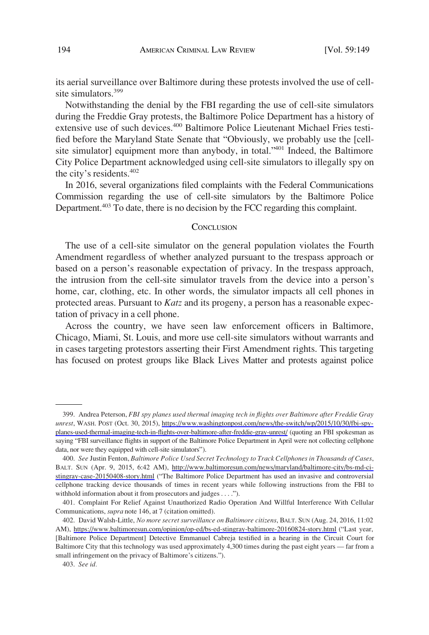<span id="page-45-0"></span>its aerial surveillance over Baltimore during these protests involved the use of cellsite simulators.<sup>399</sup>

Notwithstanding the denial by the FBI regarding the use of cell-site simulators during the Freddie Gray protests, the Baltimore Police Department has a history of extensive use of such devices.<sup>400</sup> Baltimore Police Lieutenant Michael Fries testified before the Maryland State Senate that "Obviously, we probably use the [cellsite simulator] equipment more than anybody, in total."<sup>401</sup> Indeed, the Baltimore City Police Department acknowledged using cell-site simulators to illegally spy on the city's residents.<sup>402</sup>

In 2016, several organizations filed complaints with the Federal Communications Commission regarding the use of cell-site simulators by the Baltimore Police Department.<sup>403</sup> To date, there is no decision by the FCC regarding this complaint.

#### **CONCLUSION**

The use of a cell-site simulator on the general population violates the Fourth Amendment regardless of whether analyzed pursuant to the trespass approach or based on a person's reasonable expectation of privacy. In the trespass approach, the intrusion from the cell-site simulator travels from the device into a person's home, car, clothing, etc. In other words, the simulator impacts all cell phones in protected areas. Pursuant to *Katz* and its progeny, a person has a reasonable expectation of privacy in a cell phone.

Across the country, we have seen law enforcement officers in Baltimore, Chicago, Miami, St. Louis, and more use cell-site simulators without warrants and in cases targeting protestors asserting their First Amendment rights. This targeting has focused on protest groups like Black Lives Matter and protests against police

Andrea Peterson, *FBI spy planes used thermal imaging tech in flights over Baltimore after Freddie Gray*  399. *unrest*, WASH. POST (Oct. 30, 2015), [https://www.washingtonpost.com/news/the-switch/wp/2015/10/30/fbi-spy](https://www.washingtonpost.com/news/the-switch/wp/2015/10/30/fbi-spy-planes-used-thermal-imaging-tech-in-flights-over-baltimore-after-freddie-gray-unrest/)[planes-used-thermal-imaging-tech-in-flights-over-baltimore-after-freddie-gray-unrest/](https://www.washingtonpost.com/news/the-switch/wp/2015/10/30/fbi-spy-planes-used-thermal-imaging-tech-in-flights-over-baltimore-after-freddie-gray-unrest/) (quoting an FBI spokesman as saying "FBI surveillance flights in support of the Baltimore Police Department in April were not collecting cellphone data, nor were they equipped with cell-site simulators").

*See* Justin Fenton, *Baltimore Police Used Secret Technology to Track Cellphones in Thousands of Cases*, 400. BALT. SUN (Apr. 9, 2015, 6:42 AM), [http://www.baltimoresun.com/news/maryland/baltimore-city/bs-md-ci](http://www.baltimoresun.com/news/maryland/baltimore-city/bs-md-ci-stingray-case-20150408-story.html)[stingray-case-20150408-story.html](http://www.baltimoresun.com/news/maryland/baltimore-city/bs-md-ci-stingray-case-20150408-story.html) ("The Baltimore Police Department has used an invasive and controversial cellphone tracking device thousands of times in recent years while following instructions from the FBI to withhold information about it from prosecutors and judges . . . .").

<sup>401.</sup> Complaint For Relief Against Unauthorized Radio Operation And Willful Interference With Cellular Communications, *supra* note 146, at 7 (citation omitted).

<sup>402.</sup> David Walsh-Little, *No more secret surveillance on Baltimore citizens*, BALT. SUN (Aug. 24, 2016, 11:02 AM), <https://www.baltimoresun.com/opinion/op-ed/bs-ed-stingray-baltimore-20160824-story.html>("Last year, [Baltimore Police Department] Detective Emmanuel Cabreja testified in a hearing in the Circuit Court for Baltimore City that this technology was used approximately 4,300 times during the past eight years — far from a small infringement on the privacy of Baltimore's citizens.").

<sup>403.</sup> *See id.*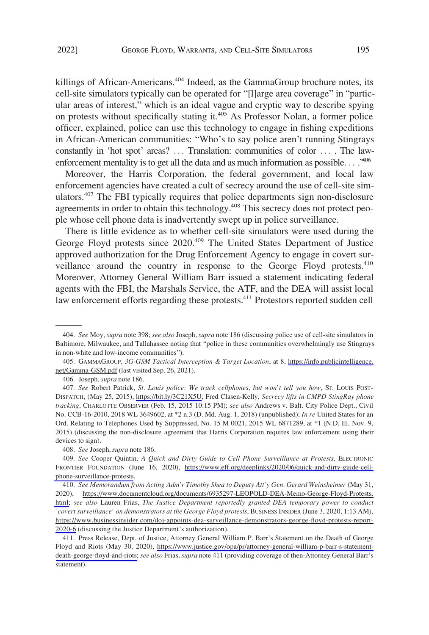killings of African-Americans.<sup>404</sup> Indeed, as the GammaGroup brochure notes, its cell-site simulators typically can be operated for "[l]arge area coverage" in "particular areas of interest," which is an ideal vague and cryptic way to describe spying on protests without specifically stating it.<sup>405</sup> As Professor Nolan, a former police officer, explained, police can use this technology to engage in fishing expeditions in African-American communities: "Who's to say police aren't running Stingrays constantly in 'hot spot' areas? ... Translation: communities of color ... . The lawenforcement mentality is to get all the data and as much information as possible...<sup>2406</sup>

Moreover, the Harris Corporation, the federal government, and local law enforcement agencies have created a cult of secrecy around the use of cell-site simulators.<sup>407</sup> The FBI typically requires that police departments sign non-disclosure agreements in order to obtain this technology.408 This secrecy does not protect people whose cell phone data is inadvertently swept up in police surveillance.

There is little evidence as to whether cell-site simulators were used during the George Floyd protests since 2020.<sup>409</sup> The United States Department of Justice approved authorization for the Drug Enforcement Agency to engage in covert surveillance around the country in response to the George Floyd protests.410 Moreover, Attorney General William Barr issued a statement indicating federal agents with the FBI, the Marshals Service, the ATF, and the DEA will assist local law enforcement efforts regarding these protests.<sup>411</sup> Protestors reported sudden cell

<sup>404.</sup> *See* Moy, *supra* note 398; *see also* Joseph, *supra* note 186 (discussing police use of cell-site simulators in Baltimore, Milwaukee, and Tallahassee noting that "police in these communities overwhelmingly use Stingrays in non-white and low-income communities").

<sup>405.</sup> GAMMAGROUP, 3G-GSM Tactical Interception & Target Location, at 8, [https://info.publicintelligence.](https://info.publicintelligence.net/Gamma-GSM.pdf) [net/Gamma-GSM.pdf](https://info.publicintelligence.net/Gamma-GSM.pdf) (last visited Sep. 26, 2021).

<sup>406.</sup> Joseph, *supra* note 186.

*See* Robert Patrick, *St. Louis police: We track cellphones, but won't tell you how*, ST. LOUIS POST-407. DISPATCH, (May 25, 2015), <https://bit.ly/3C21X5U>; Fred Clasen-Kelly, *Secrecy lifts in CMPD StingRay phone tracking*, CHARLOTTE OBSERVER (Feb. 15, 2015 10:15 PM); *see also* Andrews v. Balt. City Police Dept., Civil No. CCB-16-2010, 2018 WL 3649602, at \*2 n.3 (D. Md. Aug. 1, 2018) (unpublished); *In re* United States for an Ord. Relating to Telephones Used by Suppressed, No. 15 M 0021, 2015 WL 6871289, at \*1 (N.D. Ill. Nov. 9, 2015) (discussing the non-disclosure agreement that Harris Corporation requires law enforcement using their devices to sign).

<sup>408.</sup> *See* Joseph, *supra* note 186.

*See* Cooper Quintin, *A Quick and Dirty Guide to Cell Phone Surveillance at Protests*, ELECTRONIC 409. FRONTIER FOUNDATION (June 16, 2020), [https://www.eff.org/deeplinks/2020/06/quick-and-dirty-guide-cell](https://www.eff.org/deeplinks/2020/06/quick-and-dirty-guide-cell-phone-surveillance-protests)[phone-surveillance-protests](https://www.eff.org/deeplinks/2020/06/quick-and-dirty-guide-cell-phone-surveillance-protests).

<sup>410.</sup> See Memorandum from Acting Adm'r Timothy Shea to Deputy Att'y Gen. Gerard Weinsheimer (May 31, 2020), [https://www.documentcloud.org/documents/6935297-LEOPOLD-DEA-Memo-George-Floyd-Protests.](https://www.documentcloud.org/documents/6935297-LEOPOLD-DEA-Memo-George-Floyd-Protests.html) [html;](https://www.documentcloud.org/documents/6935297-LEOPOLD-DEA-Memo-George-Floyd-Protests.html) *see also* Lauren Frias, *The Justice Department reportedly granted DEA temporary power to conduct 'covert surveillance' on demonstrators at the George Floyd protests*, BUSINESS INSIDER (June 3, 2020, 1:13 AM), [https://www.businessinsider.com/doj-appoints-dea-surveillance-demonstrators-george-floyd-protests-report-](https://www.businessinsider.com/doj-appoints-dea-surveillance-demonstrators-george-floyd-protests-report-2020-6)[2020-6](https://www.businessinsider.com/doj-appoints-dea-surveillance-demonstrators-george-floyd-protests-report-2020-6) (discussing the Justice Department's authorization).

<sup>411.</sup> Press Release, Dept. of Justice, Attorney General William P. Barr's Statement on the Death of George Floyd and Riots (May 30, 2020), [https://www.justice.gov/opa/pr/attorney-general-william-p-barr-s-statement](https://www.justice.gov/opa/pr/attorney-general-william-p-barr-s-statement-death-george-floyd-and-riots)[death-george-floyd-and-riots;](https://www.justice.gov/opa/pr/attorney-general-william-p-barr-s-statement-death-george-floyd-and-riots) *see also* Frias, *supra* note 411 (providing coverage of then-Attorney General Barr's statement).